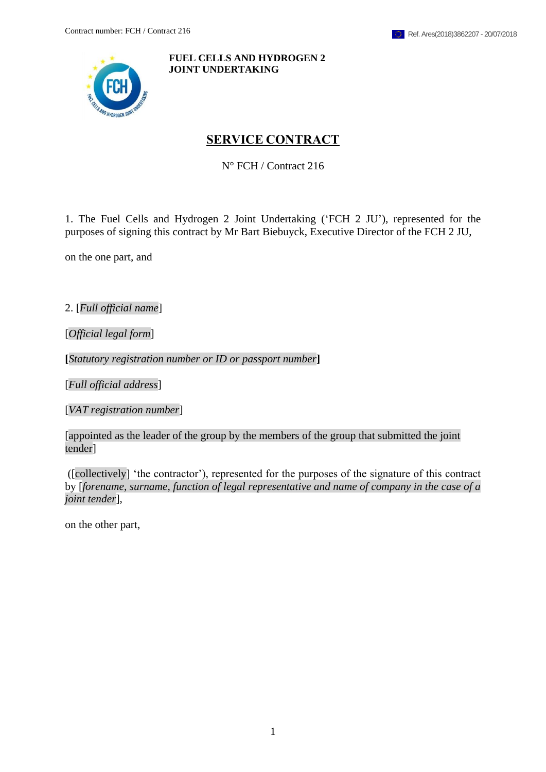<span id="page-0-0"></span>

**FUEL CELLS AND HYDROGEN 2 JOINT UNDERTAKING**

# **SERVICE CONTRACT**

N° FCH / Contract 216

1. The Fuel Cells and Hydrogen 2 Joint Undertaking ('FCH 2 JU'), represented for the purposes of signing this contract by Mr Bart Biebuyck, Executive Director of the FCH 2 JU,

on the one part, and

2. [*Full official name*]

[*Official legal form*]

**[***Statutory registration number or ID or passport number***]**

[*Full official address*]

[*VAT registration number*]

[appointed as the leader of the group by the members of the group that submitted the joint tender]

([collectively] 'the contractor'), represented for the purposes of the signature of this contract by [*forename, surname, function of legal representative and name of company in the case of a joint tender*],

on the other part,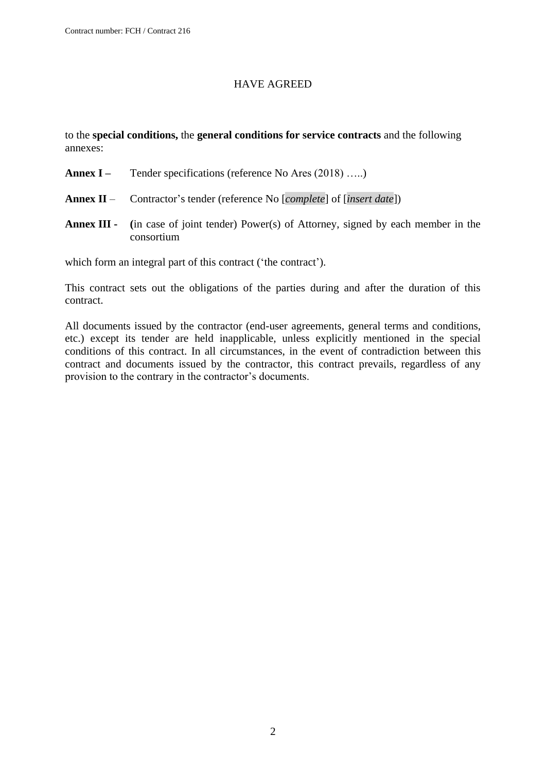### HAVE AGREED

to the **special conditions,** the **general conditions for service contracts** and the following annexes:

- **Annex I** Tender specifications (reference No Ares (2018) …..)
- **Annex II** Contractor's tender (reference No [*complete*] of [*insert date*])
- **Annex III - (**in case of joint tender) Power(s) of Attorney, signed by each member in the consortium

which form an integral part of this contract ('the contract').

This contract sets out the obligations of the parties during and after the duration of this contract.

All documents issued by the contractor (end-user agreements, general terms and conditions, etc.) except its tender are held inapplicable, unless explicitly mentioned in the special conditions of this contract. In all circumstances, in the event of contradiction between this contract and documents issued by the contractor, this contract prevails, regardless of any provision to the contrary in the contractor's documents.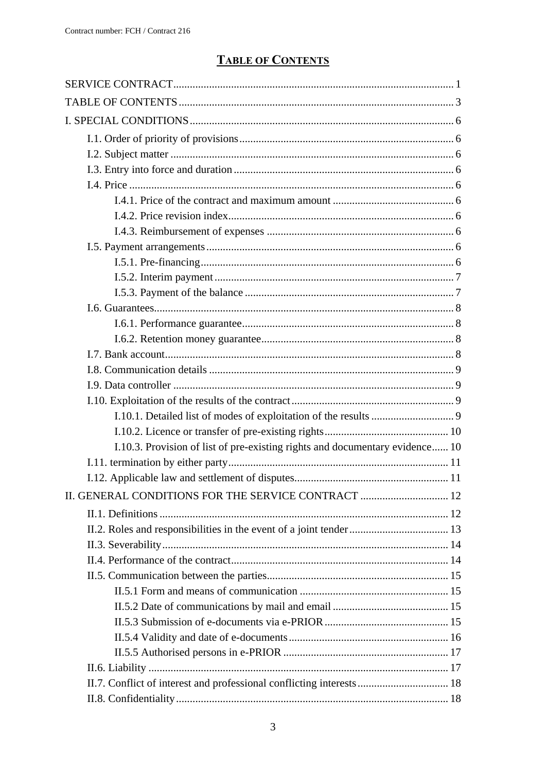# **TABLE OF CONTENTS**

<span id="page-2-0"></span>

| I.10.3. Provision of list of pre-existing rights and documentary evidence 10 |  |
|------------------------------------------------------------------------------|--|
|                                                                              |  |
|                                                                              |  |
| II. GENERAL CONDITIONS FOR THE SERVICE CONTRACT  12                          |  |
|                                                                              |  |
|                                                                              |  |
|                                                                              |  |
|                                                                              |  |
|                                                                              |  |
|                                                                              |  |
|                                                                              |  |
|                                                                              |  |
|                                                                              |  |
|                                                                              |  |
|                                                                              |  |
|                                                                              |  |
|                                                                              |  |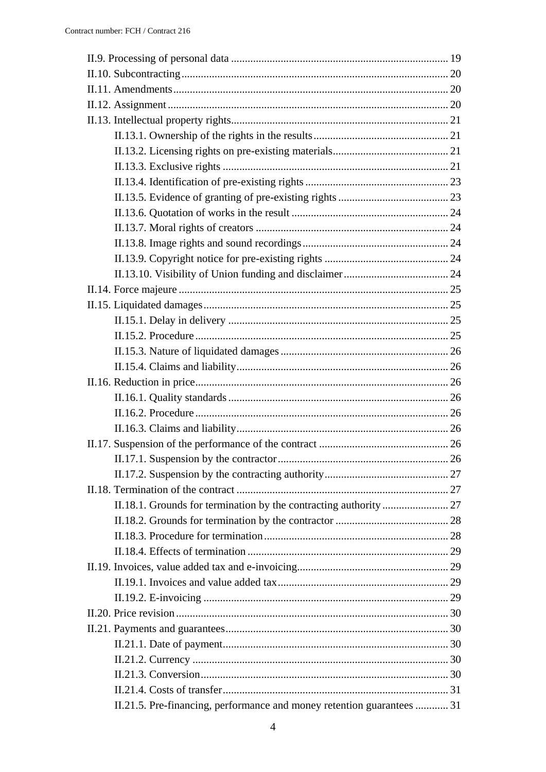| II.21.5. Pre-financing, performance and money retention guarantees  31 |  |
|------------------------------------------------------------------------|--|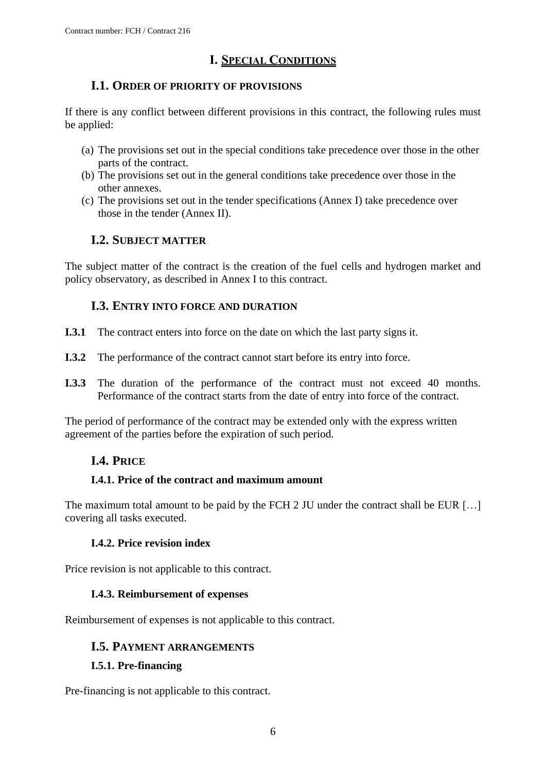# **I. SPECIAL CONDITIONS**

## <span id="page-5-0"></span>**I.1. ORDER OF PRIORITY OF PROVISIONS**

<span id="page-5-1"></span>If there is any conflict between different provisions in this contract, the following rules must be applied:

- (a) The provisions set out in the special conditions take precedence over those in the other parts of the contract.
- (b) The provisions set out in the general conditions take precedence over those in the other annexes.
- (c) The provisions set out in the tender specifications (Annex I) take precedence over those in the tender (Annex II).

# **I.2. SUBJECT MATTER**

<span id="page-5-2"></span>The subject matter of the contract is the creation of the fuel cells and hydrogen market and policy observatory, as described in Annex I to this contract.

## **I.3. ENTRY INTO FORCE AND DURATION**

- <span id="page-5-3"></span>**I.3.1** The contract enters into force on the date on which the last party signs it.
- **I.3.2** The performance of the contract cannot start before its entry into force.
- **I.3.3** The duration of the performance of the contract must not exceed 40 months. Performance of the contract starts from the date of entry into force of the contract.

<span id="page-5-4"></span>The period of performance of the contract may be extended only with the express written agreement of the parties before the expiration of such period.

# **I.4. PRICE**

### <span id="page-5-5"></span>**I.4.1. Price of the contract and maximum amount**

The maximum total amount to be paid by the FCH 2 JU under the contract shall be EUR [...] covering all tasks executed.

### **I.4.2. Price revision index**

<span id="page-5-7"></span><span id="page-5-6"></span>Price revision is not applicable to this contract.

### **I.4.3. Reimbursement of expenses**

<span id="page-5-8"></span>Reimbursement of expenses is not applicable to this contract.

### **I.5. PAYMENT ARRANGEMENTS**

### <span id="page-5-9"></span>**I.5.1. Pre-financing**

Pre-financing is not applicable to this contract.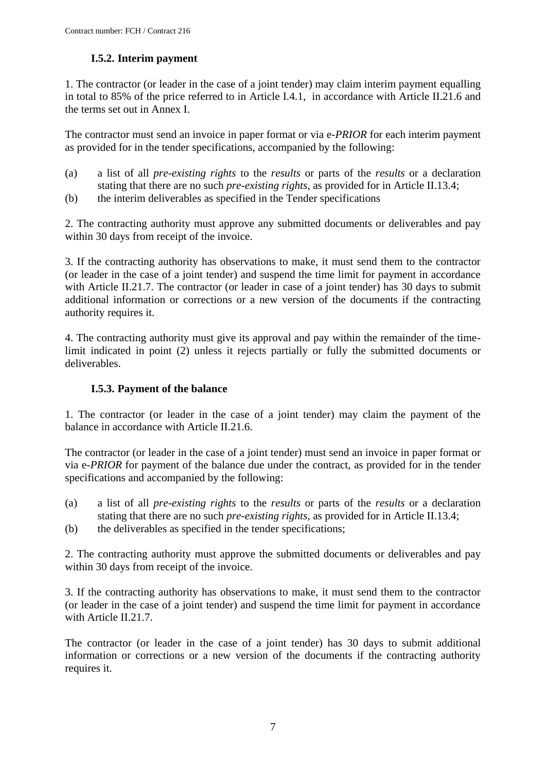## **I.5.2. Interim payment**

<span id="page-6-1"></span><span id="page-6-0"></span>1. The contractor (or leader in the case of a joint tender) may claim interim payment equalling in total to 85% of the price referred to in Article I.4.1, in accordance with Article II.21.6 and the terms set out in Annex I.

The contractor must send an invoice in paper format or via e*-PRIOR* for each interim payment as provided for in the tender specifications, accompanied by the following:

- (a) a list of all *pre-existing rights* to the *results* or parts of the *results* or a declaration stating that there are no such *pre-existing rights*, as provided for in Article II.13.4;
- (b) the interim deliverables as specified in the Tender specifications

2. The contracting authority must approve any submitted documents or deliverables and pay within 30 days from receipt of the invoice.

3. If the contracting authority has observations to make, it must send them to the contractor (or leader in the case of a joint tender) and suspend the time limit for payment in accordance with Article II.21.7. The contractor (or leader in case of a joint tender) has 30 days to submit additional information or corrections or a new version of the documents if the contracting authority requires it.

4. The contracting authority must give its approval and pay within the remainder of the timelimit indicated in point (2) unless it rejects partially or fully the submitted documents or deliverables.

### **I.5.3. Payment of the balance**

1. The contractor (or leader in the case of a joint tender) may claim the payment of the balance in accordance with Article II.21.6.

The contractor (or leader in the case of a joint tender) must send an invoice in paper format or via e*-PRIOR* for payment of the balance due under the contract, as provided for in the tender specifications and accompanied by the following:

- (a) a list of all *pre-existing rights* to the *results* or parts of the *results* or a declaration stating that there are no such *pre-existing rights*, as provided for in Article II.13.4;
- (b) the deliverables as specified in the tender specifications;

2. The contracting authority must approve the submitted documents or deliverables and pay within 30 days from receipt of the invoice.

3. If the contracting authority has observations to make, it must send them to the contractor (or leader in the case of a joint tender) and suspend the time limit for payment in accordance with Article II.21.7.

The contractor (or leader in the case of a joint tender) has 30 days to submit additional information or corrections or a new version of the documents if the contracting authority requires it.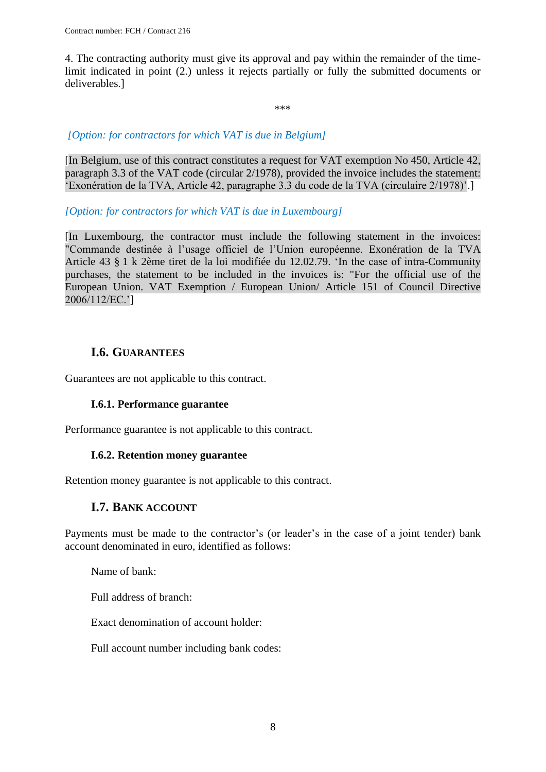4. The contracting authority must give its approval and pay within the remainder of the timelimit indicated in point (2.) unless it rejects partially or fully the submitted documents or deliverables.]

\*\*\*

### *[Option: for contractors for which VAT is due in Belgium]*

[In Belgium, use of this contract constitutes a request for VAT exemption No 450, Article 42, paragraph 3.3 of the VAT code (circular 2/1978), provided the invoice includes the statement: 'Exonération de la TVA, Article 42, paragraphe 3.3 du code de la TVA (circulaire 2/1978)'.]

### *[Option: for contractors for which VAT is due in Luxembourg]*

[In Luxembourg, the contractor must include the following statement in the invoices: "Commande destinée à l'usage officiel de l'Union européenne. Exonération de la TVA Article 43 § 1 k 2ème tiret de la loi modifiée du 12.02.79. 'In the case of intra-Community purchases, the statement to be included in the invoices is: "For the official use of the European Union. VAT Exemption / European Union/ Article 151 of Council Directive 2006/112/EC.']

## **I.6. GUARANTEES**

<span id="page-7-1"></span><span id="page-7-0"></span>Guarantees are not applicable to this contract.

### **I.6.1. Performance guarantee**

<span id="page-7-2"></span>Performance guarantee is not applicable to this contract.

### **I.6.2. Retention money guarantee**

<span id="page-7-3"></span>Retention money guarantee is not applicable to this contract.

### **I.7. BANK ACCOUNT**

Payments must be made to the contractor's (or leader's in the case of a joint tender) bank account denominated in euro, identified as follows:

Name of bank:

Full address of branch:

Exact denomination of account holder:

Full account number including bank codes: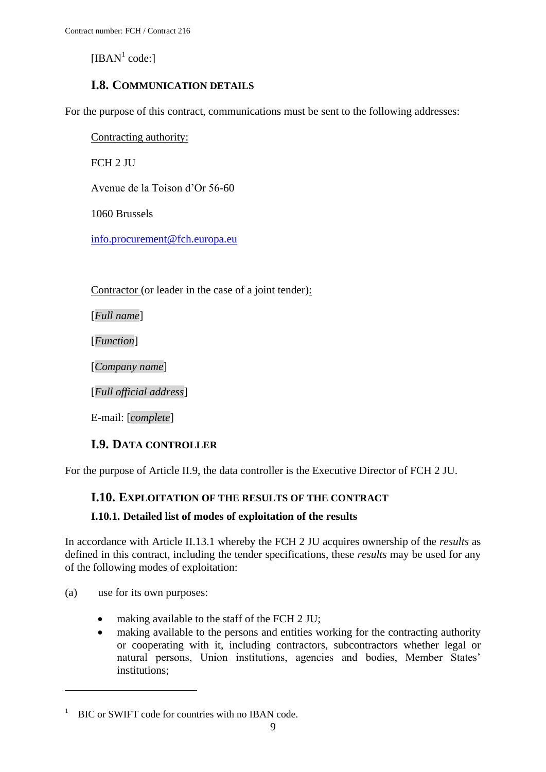[IBAN $<sup>1</sup>$  code:]</sup>

## **I.8. COMMUNICATION DETAILS**

<span id="page-8-0"></span>For the purpose of this contract, communications must be sent to the following addresses:

Contracting authority:

FCH 2 JU

Avenue de la Toison d'Or 56-60

1060 Brussels

[info.procurement@fch.europa.eu](mailto:info.procurement@fch.europa.eu)

Contractor (or leader in the case of a joint tender):

[*Full name*]

[*Function*]

[*Company name*]

[*Full official address*]

E-mail: [*complete*]

### **I.9. DATA CONTROLLER**

<span id="page-8-2"></span><span id="page-8-1"></span>For the purpose of Article II.9, the data controller is the Executive Director of FCH 2 JU.

### **I.10. EXPLOITATION OF THE RESULTS OF THE CONTRACT**

### <span id="page-8-3"></span>**I.10.1. Detailed list of modes of exploitation of the results**

In accordance with Article II.13.1 whereby the FCH 2 JU acquires ownership of the *results* as defined in this contract, including the tender specifications, these *results* may be used for any of the following modes of exploitation:

(a) use for its own purposes:

1

- making available to the staff of the FCH 2 JU;
- making available to the persons and entities working for the contracting authority or cooperating with it, including contractors, subcontractors whether legal or natural persons, Union institutions, agencies and bodies, Member States' institutions;

 $1$  BIC or SWIFT code for countries with no IBAN code.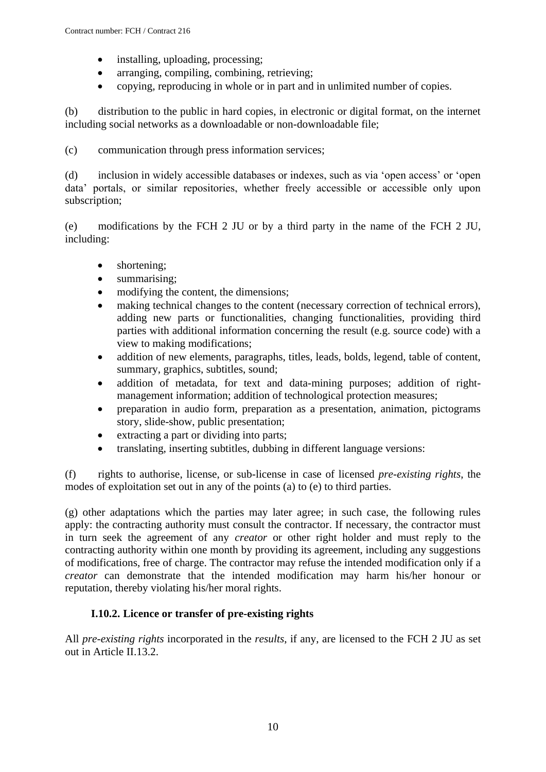- installing, uploading, processing;
- arranging, compiling, combining, retrieving;
- copying, reproducing in whole or in part and in unlimited number of copies.

(b) distribution to the public in hard copies, in electronic or digital format, on the internet including social networks as a downloadable or non-downloadable file;

(c) communication through press information services;

(d) inclusion in widely accessible databases or indexes, such as via 'open access' or 'open data' portals, or similar repositories, whether freely accessible or accessible only upon subscription;

(e) modifications by the FCH 2 JU or by a third party in the name of the FCH 2 JU, including:

- shortening;
- summarising;
- modifying the content, the dimensions;
- making technical changes to the content (necessary correction of technical errors), adding new parts or functionalities, changing functionalities, providing third parties with additional information concerning the result (e.g. source code) with a view to making modifications;
- addition of new elements, paragraphs, titles, leads, bolds, legend, table of content, summary, graphics, subtitles, sound;
- addition of metadata, for text and data-mining purposes; addition of rightmanagement information; addition of technological protection measures;
- preparation in audio form, preparation as a presentation, animation, pictograms story, slide-show, public presentation;
- extracting a part or dividing into parts;
- translating, inserting subtitles, dubbing in different language versions:

(f) rights to authorise, license, or sub-license in case of licensed *pre-existing rights*, the modes of exploitation set out in any of the points (a) to (e) to third parties.

(g) other adaptations which the parties may later agree; in such case, the following rules apply: the contracting authority must consult the contractor. If necessary, the contractor must in turn seek the agreement of any *creator* or other right holder and must reply to the contracting authority within one month by providing its agreement, including any suggestions of modifications, free of charge. The contractor may refuse the intended modification only if a *creator* can demonstrate that the intended modification may harm his/her honour or reputation, thereby violating his/her moral rights.

### **I.10.2. Licence or transfer of pre-existing rights**

<span id="page-9-0"></span>All *pre-existing rights* incorporated in the *results*, if any, are licensed to the FCH 2 JU as set out in Article II.13.2.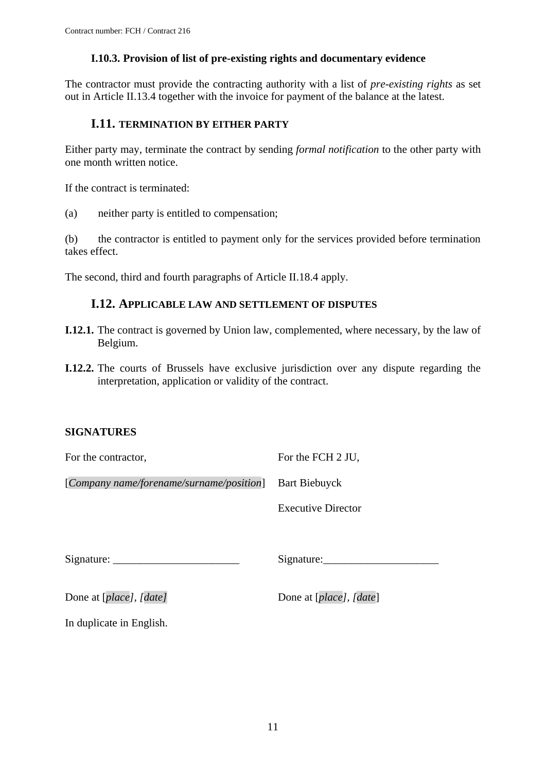#### **I.10.3. Provision of list of pre-existing rights and documentary evidence**

<span id="page-10-0"></span>The contractor must provide the contracting authority with a list of *pre-existing rights* as set out in Article II.13.4 together with the invoice for payment of the balance at the latest.

### <span id="page-10-1"></span>**I.11. TERMINATION BY EITHER PARTY**

Either party may, terminate the contract by sending *formal notification* to the other party with one month written notice.

If the contract is terminated:

(a) neither party is entitled to compensation;

(b) the contractor is entitled to payment only for the services provided before termination takes effect.

<span id="page-10-2"></span>The second, third and fourth paragraphs of Article II.18.4 apply.

### **I.12. APPLICABLE LAW AND SETTLEMENT OF DISPUTES**

- **I.12.1.** The contract is governed by Union law, complemented, where necessary, by the law of Belgium.
- **I.12.2.** The courts of Brussels have exclusive jurisdiction over any dispute regarding the interpretation, application or validity of the contract.

### **SIGNATURES**

| For the contractor,                      | For the FCH 2 JU,         |
|------------------------------------------|---------------------------|
| [Company name/forename/surname/position] | <b>Bart Biebuyck</b>      |
|                                          | <b>Executive Director</b> |
|                                          |                           |
|                                          | Signature:                |
| Done at [place], [date]                  | Done at [place], [date]   |
| In duplicate in English.                 |                           |
|                                          |                           |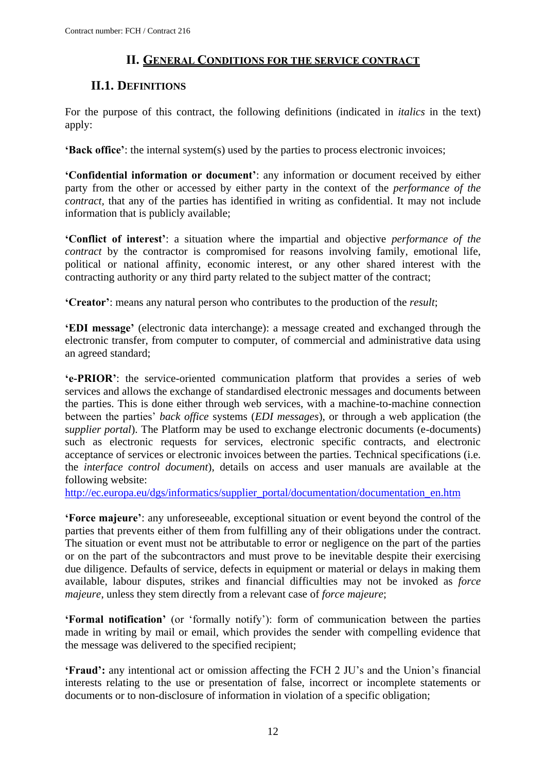## **II. GENERAL CONDITIONS FOR THE SERVICE CONTRACT**

# <span id="page-11-0"></span>**II.1. DEFINITIONS**

<span id="page-11-1"></span>For the purpose of this contract, the following definitions (indicated in *italics* in the text) apply:

**'Back office'**: the internal system(s) used by the parties to process electronic invoices;

**'Confidential information or document'**: any information or document received by either party from the other or accessed by either party in the context of the *performance of the contract,* that any of the parties has identified in writing as confidential. It may not include information that is publicly available;

**'Conflict of interest'**: a situation where the impartial and objective *performance of the contract* by the contractor is compromised for reasons involving family, emotional life, political or national affinity, economic interest, or any other shared interest with the contracting authority or any third party related to the subject matter of the contract;

**'Creator'**: means any natural person who contributes to the production of the *result*;

**'EDI message'** (electronic data interchange): a message created and exchanged through the electronic transfer, from computer to computer, of commercial and administrative data using an agreed standard;

**'e-PRIOR'**: the service-oriented communication platform that provides a series of web services and allows the exchange of standardised electronic messages and documents between the parties. This is done either through web services, with a machine-to-machine connection between the parties' *back office* systems (*EDI messages*), or through a web application (the s*upplier portal*). The Platform may be used to exchange electronic documents (e-documents) such as electronic requests for services, electronic specific contracts, and electronic acceptance of services or electronic invoices between the parties. Technical specifications (i.e. the *interface control document*), details on access and user manuals are available at the following website:

[http://ec.europa.eu/dgs/informatics/supplier\\_portal/documentation/documentation\\_en.htm](http://ec.europa.eu/dgs/informatics/supplier_portal/documentation/documentation_en.htm)

**'Force majeure'**: any unforeseeable, exceptional situation or event beyond the control of the parties that prevents either of them from fulfilling any of their obligations under the contract. The situation or event must not be attributable to error or negligence on the part of the parties or on the part of the subcontractors and must prove to be inevitable despite their exercising due diligence. Defaults of service, defects in equipment or material or delays in making them available, labour disputes, strikes and financial difficulties may not be invoked as *force majeure*, unless they stem directly from a relevant case of *force majeure*;

**'Formal notification'** (or 'formally notify'): form of communication between the parties made in writing by mail or email, which provides the sender with compelling evidence that the message was delivered to the specified recipient;

**'Fraud':** any intentional act or omission affecting the FCH 2 JU's and the Union's financial interests relating to the use or presentation of false, incorrect or incomplete statements or documents or to non-disclosure of information in violation of a specific obligation;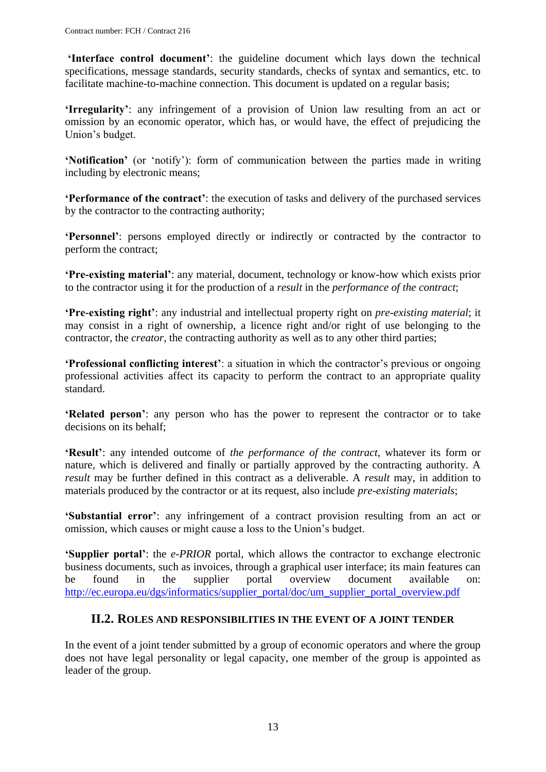**'Interface control document'**: the guideline document which lays down the technical specifications, message standards, security standards, checks of syntax and semantics, etc. to facilitate machine-to-machine connection. This document is updated on a regular basis;

**'Irregularity'**: any infringement of a provision of Union law resulting from an act or omission by an economic operator, which has, or would have, the effect of prejudicing the Union's budget.

**'Notification'** (or 'notify'): form of communication between the parties made in writing including by electronic means;

**'Performance of the contract'**: the execution of tasks and delivery of the purchased services by the contractor to the contracting authority;

**'Personnel'**: persons employed directly or indirectly or contracted by the contractor to perform the contract;

**'Pre-existing material'**: any material, document, technology or know-how which exists prior to the contractor using it for the production of a *result* in the *performance of the contract*;

**'Pre-existing right'**: any industrial and intellectual property right on *pre-existing material*; it may consist in a right of ownership, a licence right and/or right of use belonging to the contractor, the *creator*, the contracting authority as well as to any other third parties;

**'Professional conflicting interest'**: a situation in which the contractor's previous or ongoing professional activities affect its capacity to perform the contract to an appropriate quality standard.

**'Related person'**: any person who has the power to represent the contractor or to take decisions on its behalf;

**'Result'**: any intended outcome of *the performance of the contract*, whatever its form or nature, which is delivered and finally or partially approved by the contracting authority. A *result* may be further defined in this contract as a deliverable. A *result* may, in addition to materials produced by the contractor or at its request, also include *pre-existing materials*;

**'Substantial error'**: any infringement of a contract provision resulting from an act or omission, which causes or might cause a loss to the Union's budget.

**'Supplier portal'**: the *e-PRIOR* portal, which allows the contractor to exchange electronic business documents, such as invoices, through a graphical user interface; its main features can be found in the supplier portal overview document available on: [http://ec.europa.eu/dgs/informatics/supplier\\_portal/doc/um\\_supplier\\_portal\\_overview.pdf](http://ec.europa.eu/dgs/informatics/supplier_portal/doc/um_supplier_portal_overview.pdf)

### **II.2. ROLES AND RESPONSIBILITIES IN THE EVENT OF A JOINT TENDER**

<span id="page-12-0"></span>In the event of a joint tender submitted by a group of economic operators and where the group does not have legal personality or legal capacity, one member of the group is appointed as leader of the group.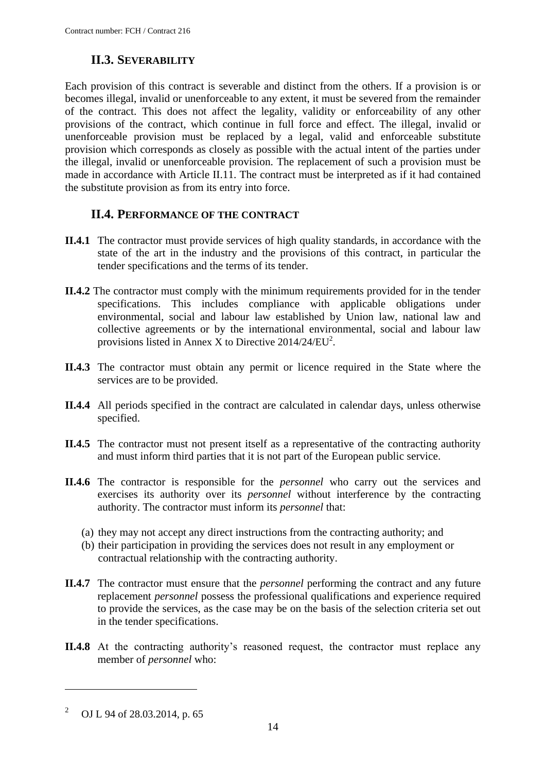## **II.3. SEVERABILITY**

<span id="page-13-0"></span>Each provision of this contract is severable and distinct from the others. If a provision is or becomes illegal, invalid or unenforceable to any extent, it must be severed from the remainder of the contract. This does not affect the legality, validity or enforceability of any other provisions of the contract, which continue in full force and effect. The illegal, invalid or unenforceable provision must be replaced by a legal, valid and enforceable substitute provision which corresponds as closely as possible with the actual intent of the parties under the illegal, invalid or unenforceable provision. The replacement of such a provision must be made in accordance with Article II.11. The contract must be interpreted as if it had contained the substitute provision as from its entry into force.

## **II.4. PERFORMANCE OF THE CONTRACT**

- <span id="page-13-1"></span>**II.4.1** The contractor must provide services of high quality standards, in accordance with the state of the art in the industry and the provisions of this contract, in particular the tender specifications and the terms of its tender.
- **II.4.2** The contractor must comply with the minimum requirements provided for in the tender specifications. This includes compliance with applicable obligations under environmental, social and labour law established by Union law, national law and collective agreements or by the international environmental, social and labour law provisions listed in Annex X to Directive  $2014/24/EU^2$ .
- **II.4.3** The contractor must obtain any permit or licence required in the State where the services are to be provided.
- **II.4.4** All periods specified in the contract are calculated in calendar days, unless otherwise specified.
- **II.4.5** The contractor must not present itself as a representative of the contracting authority and must inform third parties that it is not part of the European public service.
- **II.4.6** The contractor is responsible for the *personnel* who carry out the services and exercises its authority over its *personnel* without interference by the contracting authority. The contractor must inform its *personnel* that:
	- (a) they may not accept any direct instructions from the contracting authority; and
	- (b) their participation in providing the services does not result in any employment or contractual relationship with the contracting authority.
- **II.4.7** The contractor must ensure that the *personnel* performing the contract and any future replacement *personnel* possess the professional qualifications and experience required to provide the services, as the case may be on the basis of the selection criteria set out in the tender specifications.
- **II.4.8** At the contracting authority's reasoned request, the contractor must replace any member of *personnel* who:

1

<sup>2</sup> OJ L 94 of 28.03.2014, p. 65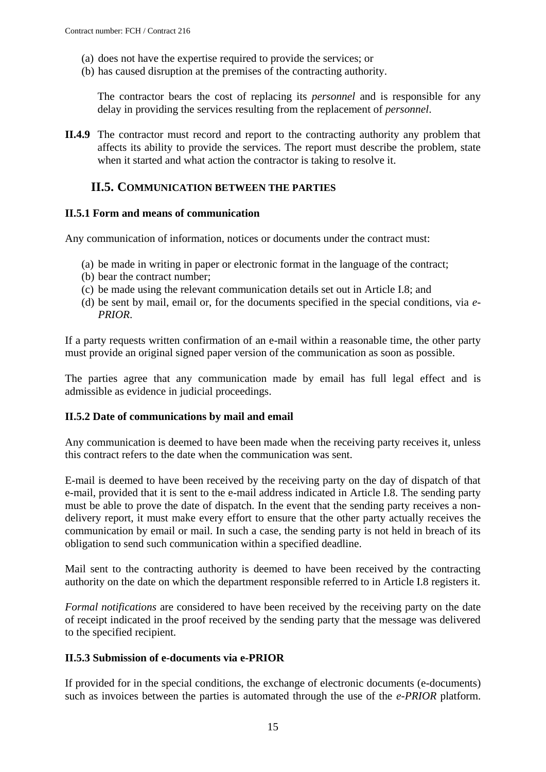- (a) does not have the expertise required to provide the services; or
- (b) has caused disruption at the premises of the contracting authority.

The contractor bears the cost of replacing its *personnel* and is responsible for any delay in providing the services resulting from the replacement of *personnel*.

**II.4.9** The contractor must record and report to the contracting authority any problem that affects its ability to provide the services. The report must describe the problem, state when it started and what action the contractor is taking to resolve it.

### <span id="page-14-0"></span>**II.5. COMMUNICATION BETWEEN THE PARTIES**

#### <span id="page-14-1"></span>**II.5.1 Form and means of communication**

Any communication of information, notices or documents under the contract must:

- (a) be made in writing in paper or electronic format in the language of the contract;
- (b) bear the contract number;
- (c) be made using the relevant communication details set out in Article I.8; and
- (d) be sent by mail, email or, for the documents specified in the special conditions, via *e-PRIOR*.

If a party requests written confirmation of an e-mail within a reasonable time, the other party must provide an original signed paper version of the communication as soon as possible.

The parties agree that any communication made by email has full legal effect and is admissible as evidence in judicial proceedings.

#### <span id="page-14-2"></span>**II.5.2 Date of communications by mail and email**

Any communication is deemed to have been made when the receiving party receives it, unless this contract refers to the date when the communication was sent.

E-mail is deemed to have been received by the receiving party on the day of dispatch of that e-mail, provided that it is sent to the e-mail address indicated in Article I.8. The sending party must be able to prove the date of dispatch. In the event that the sending party receives a nondelivery report, it must make every effort to ensure that the other party actually receives the communication by email or mail. In such a case, the sending party is not held in breach of its obligation to send such communication within a specified deadline.

Mail sent to the contracting authority is deemed to have been received by the contracting authority on the date on which the department responsible referred to in Article I.8 registers it.

*Formal notifications* are considered to have been received by the receiving party on the date of receipt indicated in the proof received by the sending party that the message was delivered to the specified recipient.

#### <span id="page-14-3"></span>**II.5.3 Submission of e-documents via e-PRIOR**

If provided for in the special conditions, the exchange of electronic documents (e-documents) such as invoices between the parties is automated through the use of the *e-PRIOR* platform.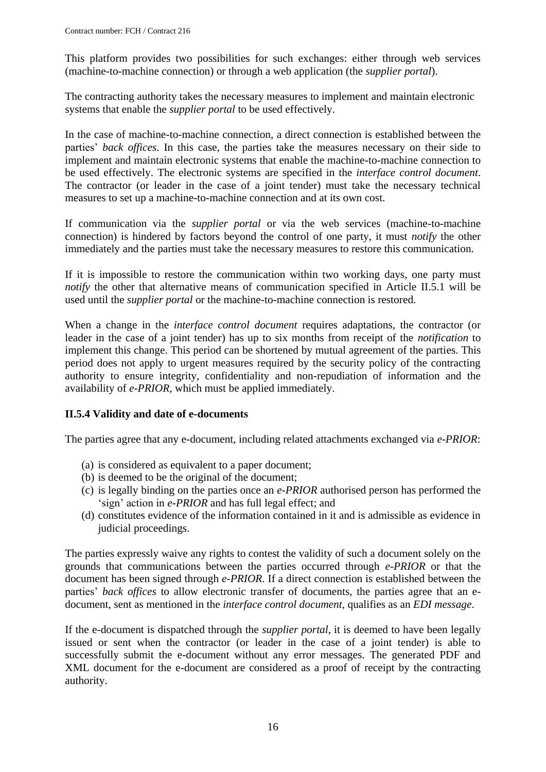This platform provides two possibilities for such exchanges: either through web services (machine-to-machine connection) or through a web application (the *supplier portal*).

The contracting authority takes the necessary measures to implement and maintain electronic systems that enable the *supplier portal* to be used effectively.

In the case of machine-to-machine connection, a direct connection is established between the parties' *back offices*. In this case, the parties take the measures necessary on their side to implement and maintain electronic systems that enable the machine-to-machine connection to be used effectively. The electronic systems are specified in the *interface control document*. The contractor (or leader in the case of a joint tender) must take the necessary technical measures to set up a machine-to-machine connection and at its own cost.

If communication via the *supplier portal* or via the web services (machine-to-machine connection) is hindered by factors beyond the control of one party, it must *notify* the other immediately and the parties must take the necessary measures to restore this communication.

If it is impossible to restore the communication within two working days, one party must *notify* the other that alternative means of communication specified in Article II.5.1 will be used until the *supplier portal* or the machine-to-machine connection is restored.

When a change in the *interface control document* requires adaptations, the contractor (or leader in the case of a joint tender) has up to six months from receipt of the *notification* to implement this change. This period can be shortened by mutual agreement of the parties. This period does not apply to urgent measures required by the security policy of the contracting authority to ensure integrity, confidentiality and non-repudiation of information and the availability of *e-PRIOR*, which must be applied immediately.

### <span id="page-15-0"></span>**II.5.4 Validity and date of e-documents**

The parties agree that any e-document, including related attachments exchanged via *e-PRIOR*:

- (a) is considered as equivalent to a paper document;
- (b) is deemed to be the original of the document;
- (c) is legally binding on the parties once an *e-PRIOR* authorised person has performed the 'sign' action in *e-PRIOR* and has full legal effect; and
- (d) constitutes evidence of the information contained in it and is admissible as evidence in judicial proceedings.

The parties expressly waive any rights to contest the validity of such a document solely on the grounds that communications between the parties occurred through *e-PRIOR* or that the document has been signed through *e-PRIOR*. If a direct connection is established between the parties' *back offices* to allow electronic transfer of documents, the parties agree that an edocument, sent as mentioned in the *interface control document*, qualifies as an *EDI message*.

If the e-document is dispatched through the *supplier portal*, it is deemed to have been legally issued or sent when the contractor (or leader in the case of a joint tender) is able to successfully submit the e-document without any error messages. The generated PDF and XML document for the e-document are considered as a proof of receipt by the contracting authority.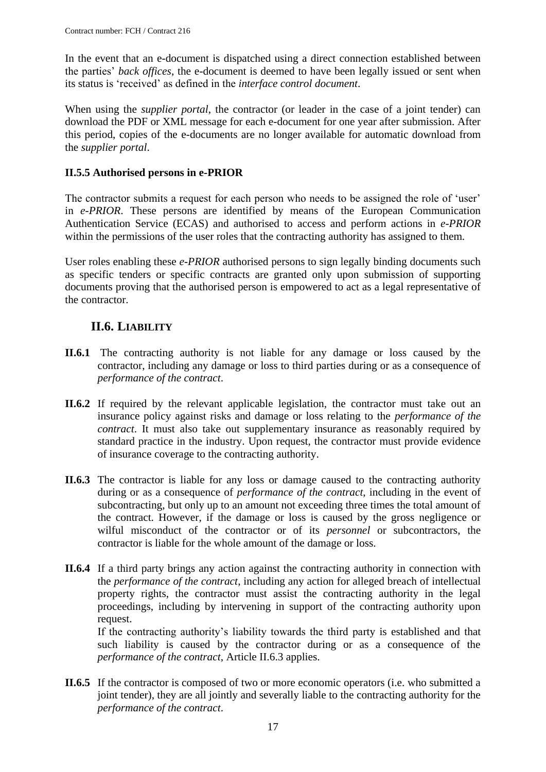In the event that an e-document is dispatched using a direct connection established between the parties' *back offices*, the e-document is deemed to have been legally issued or sent when its status is 'received' as defined in the *interface control document*.

When using the *supplier portal*, the contractor (or leader in the case of a joint tender) can download the PDF or XML message for each e-document for one year after submission. After this period, copies of the e-documents are no longer available for automatic download from the *supplier portal*.

## <span id="page-16-0"></span>**II.5.5 Authorised persons in e-PRIOR**

The contractor submits a request for each person who needs to be assigned the role of 'user' in *e-PRIOR*. These persons are identified by means of the European Communication Authentication Service (ECAS) and authorised to access and perform actions in *e-PRIOR* within the permissions of the user roles that the contracting authority has assigned to them.

User roles enabling these *e-PRIOR* authorised persons to sign legally binding documents such as specific tenders or specific contracts are granted only upon submission of supporting documents proving that the authorised person is empowered to act as a legal representative of the contractor.

# **II.6. LIABILITY**

- <span id="page-16-1"></span>**II.6.1** The contracting authority is not liable for any damage or loss caused by the contractor, including any damage or loss to third parties during or as a consequence of *performance of the contract*.
- **II.6.2** If required by the relevant applicable legislation, the contractor must take out an insurance policy against risks and damage or loss relating to the *performance of the contract*. It must also take out supplementary insurance as reasonably required by standard practice in the industry. Upon request, the contractor must provide evidence of insurance coverage to the contracting authority.
- **II.6.3** The contractor is liable for any loss or damage caused to the contracting authority during or as a consequence of *performance of the contract*, including in the event of subcontracting, but only up to an amount not exceeding three times the total amount of the contract. However, if the damage or loss is caused by the gross negligence or wilful misconduct of the contractor or of its *personnel* or subcontractors, the contractor is liable for the whole amount of the damage or loss.
- **II.6.4** If a third party brings any action against the contracting authority in connection with the *performance of the contract*, including any action for alleged breach of intellectual property rights, the contractor must assist the contracting authority in the legal proceedings, including by intervening in support of the contracting authority upon request.

If the contracting authority's liability towards the third party is established and that such liability is caused by the contractor during or as a consequence of the *performance of the contract*, Article II.6.3 applies.

**II.6.5** If the contractor is composed of two or more economic operators (i.e. who submitted a joint tender), they are all jointly and severally liable to the contracting authority for the *performance of the contract*.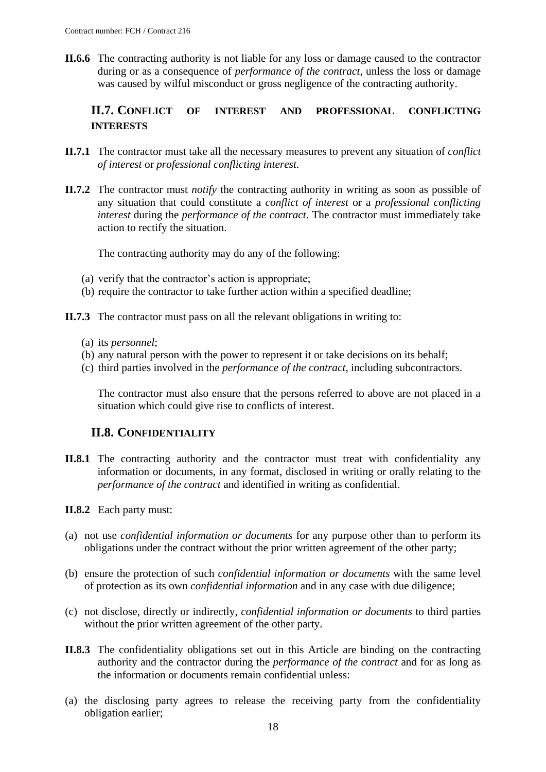**II.6.6** The contracting authority is not liable for any loss or damage caused to the contractor during or as a consequence of *performance of the contract*, unless the loss or damage was caused by wilful misconduct or gross negligence of the contracting authority.

### <span id="page-17-0"></span>**II.7. CONFLICT OF INTEREST AND PROFESSIONAL CONFLICTING INTERESTS**

- **II.7.1** The contractor must take all the necessary measures to prevent any situation of *conflict of interest* or *professional conflicting interest.*
- **II.7.2** The contractor must *notify* the contracting authority in writing as soon as possible of any situation that could constitute a *conflict of interest* or a *professional conflicting interest* during the *performance of the contract*. The contractor must immediately take action to rectify the situation.

The contracting authority may do any of the following:

- (a) verify that the contractor's action is appropriate;
- (b) require the contractor to take further action within a specified deadline;

**II.7.3** The contractor must pass on all the relevant obligations in writing to:

- (a) its *personnel*;
- (b) any natural person with the power to represent it or take decisions on its behalf;
- (c) third parties involved in the *performance of the contract*, including subcontractors.

The contractor must also ensure that the persons referred to above are not placed in a situation which could give rise to conflicts of interest.

### **II.8. CONFIDENTIALITY**

- <span id="page-17-1"></span>**II.8.1** The contracting authority and the contractor must treat with confidentiality any information or documents, in any format, disclosed in writing or orally relating to the *performance of the contract* and identified in writing as confidential.
- **II.8.2** Each party must:
- (a) not use *confidential information or documents* for any purpose other than to perform its obligations under the contract without the prior written agreement of the other party;
- (b) ensure the protection of such *confidential information or documents* with the same level of protection as its own *confidential information* and in any case with due diligence;
- (c) not disclose, directly or indirectly, *confidential information or documents* to third parties without the prior written agreement of the other party.
- **II.8.3** The confidentiality obligations set out in this Article are binding on the contracting authority and the contractor during the *performance of the contract* and for as long as the information or documents remain confidential unless:
- (a) the disclosing party agrees to release the receiving party from the confidentiality obligation earlier;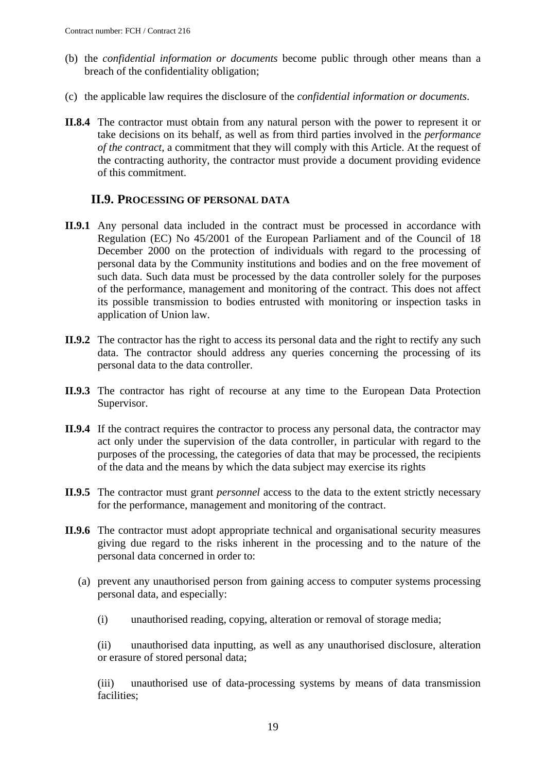- (b) the *confidential information or documents* become public through other means than a breach of the confidentiality obligation;
- (c) the applicable law requires the disclosure of the *confidential information or documents*.
- **II.8.4** The contractor must obtain from any natural person with the power to represent it or take decisions on its behalf, as well as from third parties involved in the *performance of the contract*, a commitment that they will comply with this Article. At the request of the contracting authority, the contractor must provide a document providing evidence of this commitment.

### **II.9. PROCESSING OF PERSONAL DATA**

- <span id="page-18-0"></span>**II.9.1** Any personal data included in the contract must be processed in accordance with Regulation (EC) No 45/2001 of the European Parliament and of the Council of 18 December 2000 on the protection of individuals with regard to the processing of personal data by the Community institutions and bodies and on the free movement of such data. Such data must be processed by the data controller solely for the purposes of the performance, management and monitoring of the contract. This does not affect its possible transmission to bodies entrusted with monitoring or inspection tasks in application of Union law.
- **II.9.2** The contractor has the right to access its personal data and the right to rectify any such data. The contractor should address any queries concerning the processing of its personal data to the data controller.
- **II.9.3** The contractor has right of recourse at any time to the European Data Protection Supervisor.
- **II.9.4** If the contract requires the contractor to process any personal data, the contractor may act only under the supervision of the data controller, in particular with regard to the purposes of the processing, the categories of data that may be processed, the recipients of the data and the means by which the data subject may exercise its rights
- **II.9.5** The contractor must grant *personnel* access to the data to the extent strictly necessary for the performance, management and monitoring of the contract.
- **II.9.6** The contractor must adopt appropriate technical and organisational security measures giving due regard to the risks inherent in the processing and to the nature of the personal data concerned in order to:
	- (a) prevent any unauthorised person from gaining access to computer systems processing personal data, and especially:
		- (i) unauthorised reading, copying, alteration or removal of storage media;

(ii) unauthorised data inputting, as well as any unauthorised disclosure, alteration or erasure of stored personal data;

(iii) unauthorised use of data-processing systems by means of data transmission facilities;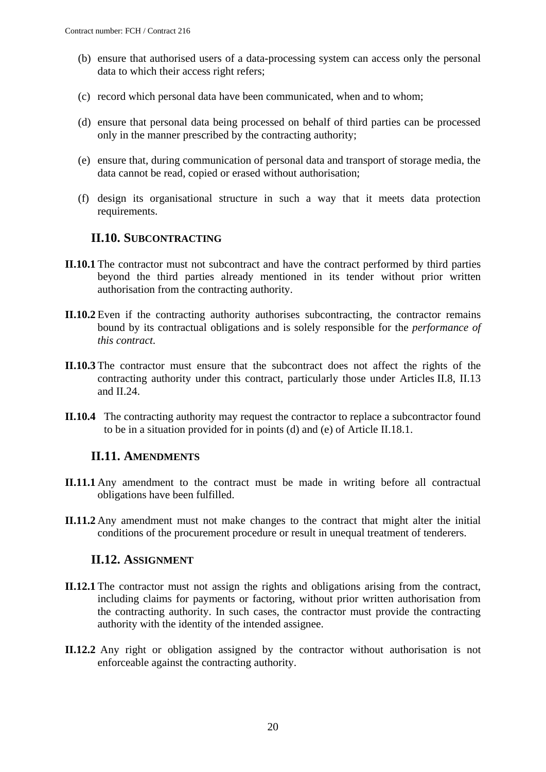- (b) ensure that authorised users of a data-processing system can access only the personal data to which their access right refers;
- (c) record which personal data have been communicated, when and to whom;
- (d) ensure that personal data being processed on behalf of third parties can be processed only in the manner prescribed by the contracting authority;
- (e) ensure that, during communication of personal data and transport of storage media, the data cannot be read, copied or erased without authorisation;
- (f) design its organisational structure in such a way that it meets data protection requirements.

### <span id="page-19-0"></span>**II.10. SUBCONTRACTING**

- **II.10.1** The contractor must not subcontract and have the contract performed by third parties beyond the third parties already mentioned in its tender without prior written authorisation from the contracting authority.
- **II.10.2** Even if the contracting authority authorises subcontracting, the contractor remains bound by its contractual obligations and is solely responsible for the *performance of this contract*.
- **II.10.3** The contractor must ensure that the subcontract does not affect the rights of the contracting authority under this contract, particularly those under Articles II.8, II.13 and II.24.
- **II.10.4** The contracting authority may request the contractor to replace a subcontractor found to be in a situation provided for in points (d) and (e) of Article II.18.1.

### <span id="page-19-1"></span>**II.11. AMENDMENTS**

- **II.11.1** Any amendment to the contract must be made in writing before all contractual obligations have been fulfilled.
- **II.11.2** Any amendment must not make changes to the contract that might alter the initial conditions of the procurement procedure or result in unequal treatment of tenderers.

### **II.12. ASSIGNMENT**

- <span id="page-19-2"></span>**II.12.1** The contractor must not assign the rights and obligations arising from the contract, including claims for payments or factoring, without prior written authorisation from the contracting authority. In such cases, the contractor must provide the contracting authority with the identity of the intended assignee.
- **II.12.2** Any right or obligation assigned by the contractor without authorisation is not enforceable against the contracting authority.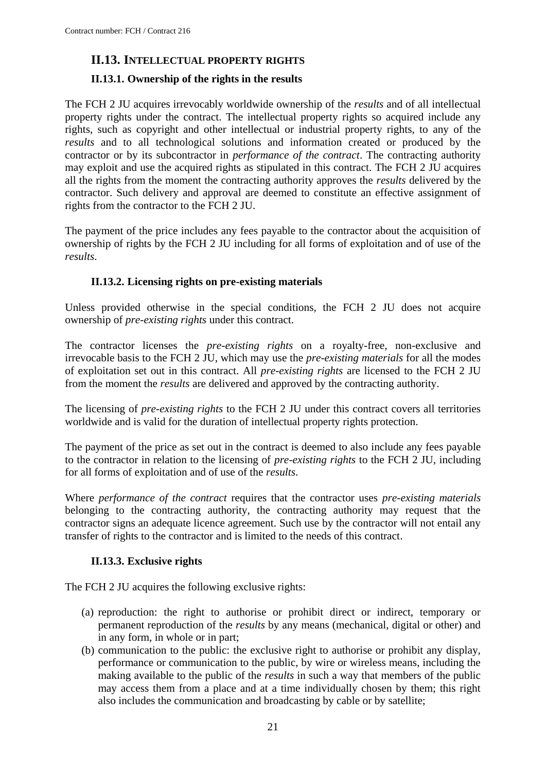## <span id="page-20-0"></span>**II.13. INTELLECTUAL PROPERTY RIGHTS**

### <span id="page-20-1"></span>**II.13.1. Ownership of the rights in the results**

The FCH 2 JU acquires irrevocably worldwide ownership of the *results* and of all intellectual property rights under the contract. The intellectual property rights so acquired include any rights, such as copyright and other intellectual or industrial property rights, to any of the *results* and to all technological solutions and information created or produced by the contractor or by its subcontractor in *performance of the contract*. The contracting authority may exploit and use the acquired rights as stipulated in this contract. The FCH 2 JU acquires all the rights from the moment the contracting authority approves the *results* delivered by the contractor. Such delivery and approval are deemed to constitute an effective assignment of rights from the contractor to the FCH 2 JU.

The payment of the price includes any fees payable to the contractor about the acquisition of ownership of rights by the FCH 2 JU including for all forms of exploitation and of use of the *results*.

### **II.13.2. Licensing rights on pre-existing materials**

<span id="page-20-2"></span>Unless provided otherwise in the special conditions, the FCH 2 JU does not acquire ownership of *pre-existing rights* under this contract.

The contractor licenses the *pre-existing rights* on a royalty-free, non-exclusive and irrevocable basis to the FCH 2 JU, which may use the *pre-existing materials* for all the modes of exploitation set out in this contract. All *pre-existing rights* are licensed to the FCH 2 JU from the moment the *results* are delivered and approved by the contracting authority.

The licensing of *pre-existing rights* to the FCH 2 JU under this contract covers all territories worldwide and is valid for the duration of intellectual property rights protection.

The payment of the price as set out in the contract is deemed to also include any fees payable to the contractor in relation to the licensing of *pre-existing rights* to the FCH 2 JU, including for all forms of exploitation and of use of the *results*.

Where *performance of the contract* requires that the contractor uses *pre-existing materials* belonging to the contracting authority, the contracting authority may request that the contractor signs an adequate licence agreement. Such use by the contractor will not entail any transfer of rights to the contractor and is limited to the needs of this contract.

### **II.13.3. Exclusive rights**

<span id="page-20-3"></span>The FCH 2 JU acquires the following exclusive rights:

- (a) reproduction: the right to authorise or prohibit direct or indirect, temporary or permanent reproduction of the *results* by any means (mechanical, digital or other) and in any form, in whole or in part;
- (b) communication to the public: the exclusive right to authorise or prohibit any display, performance or communication to the public, by wire or wireless means, including the making available to the public of the *results* in such a way that members of the public may access them from a place and at a time individually chosen by them; this right also includes the communication and broadcasting by cable or by satellite;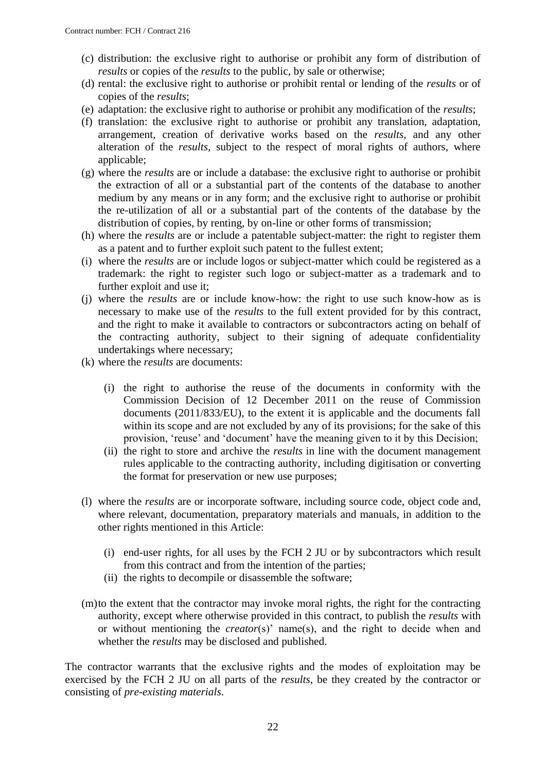- (c) distribution: the exclusive right to authorise or prohibit any form of distribution of *results* or copies of the *results* to the public, by sale or otherwise;
- (d) rental: the exclusive right to authorise or prohibit rental or lending of the *results* or of copies of the *results*;
- (e) adaptation: the exclusive right to authorise or prohibit any modification of the *results*;
- (f) translation: the exclusive right to authorise or prohibit any translation, adaptation, arrangement, creation of derivative works based on the *results*, and any other alteration of the *results*, subject to the respect of moral rights of authors, where applicable;
- (g) where the *results* are or include a database: the exclusive right to authorise or prohibit the extraction of all or a substantial part of the contents of the database to another medium by any means or in any form; and the exclusive right to authorise or prohibit the re-utilization of all or a substantial part of the contents of the database by the distribution of copies, by renting, by on-line or other forms of transmission;
- (h) where the *results* are or include a patentable subject-matter: the right to register them as a patent and to further exploit such patent to the fullest extent;
- (i) where the *results* are or include logos or subject-matter which could be registered as a trademark: the right to register such logo or subject-matter as a trademark and to further exploit and use it;
- (j) where the *results* are or include know-how: the right to use such know-how as is necessary to make use of the *results* to the full extent provided for by this contract, and the right to make it available to contractors or subcontractors acting on behalf of the contracting authority, subject to their signing of adequate confidentiality undertakings where necessary;
- (k) where the *results* are documents:
	- (i) the right to authorise the reuse of the documents in conformity with the Commission Decision of 12 December 2011 on the reuse of Commission documents (2011/833/EU), to the extent it is applicable and the documents fall within its scope and are not excluded by any of its provisions; for the sake of this provision, 'reuse' and 'document' have the meaning given to it by this Decision;
	- (ii) the right to store and archive the *results* in line with the document management rules applicable to the contracting authority, including digitisation or converting the format for preservation or new use purposes;
- (l) where the *results* are or incorporate software, including source code, object code and, where relevant, documentation, preparatory materials and manuals, in addition to the other rights mentioned in this Article:
	- (i) end-user rights, for all uses by the FCH 2 JU or by subcontractors which result from this contract and from the intention of the parties;
	- (ii) the rights to decompile or disassemble the software;
- (m)to the extent that the contractor may invoke moral rights, the right for the contracting authority, except where otherwise provided in this contract, to publish the *results* with or without mentioning the *creator*(s)' name(s), and the right to decide when and whether the *results* may be disclosed and published.

The contractor warrants that the exclusive rights and the modes of exploitation may be exercised by the FCH 2 JU on all parts of the *results*, be they created by the contractor or consisting of *pre-existing materials*.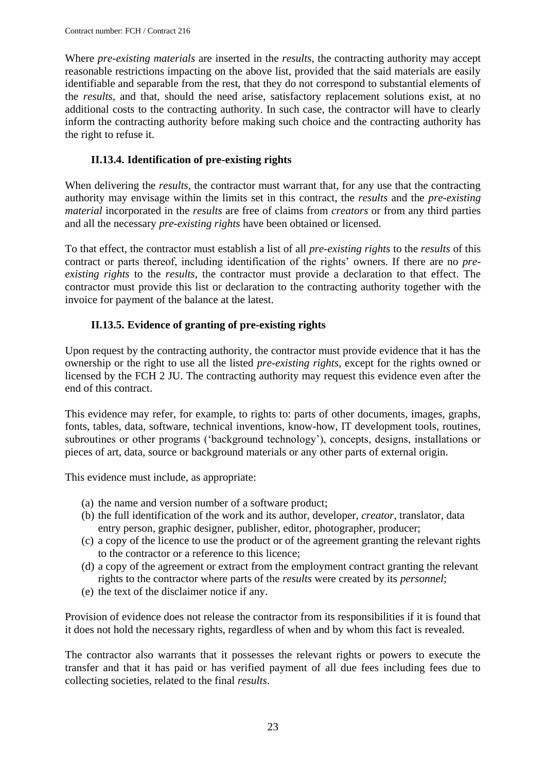Where *pre-existing materials* are inserted in the *results*, the contracting authority may accept reasonable restrictions impacting on the above list, provided that the said materials are easily identifiable and separable from the rest, that they do not correspond to substantial elements of the *results*, and that, should the need arise, satisfactory replacement solutions exist, at no additional costs to the contracting authority. In such case, the contractor will have to clearly inform the contracting authority before making such choice and the contracting authority has the right to refuse it.

### **II.13.4. Identification of pre-existing rights**

<span id="page-22-0"></span>When delivering the *results*, the contractor must warrant that, for any use that the contracting authority may envisage within the limits set in this contract, the *results* and the *pre-existing material* incorporated in the *results* are free of claims from *creators* or from any third parties and all the necessary *pre-existing rights* have been obtained or licensed.

To that effect, the contractor must establish a list of all *pre-existing rights* to the *results* of this contract or parts thereof, including identification of the rights' owners. If there are no *preexisting rights* to the *results*, the contractor must provide a declaration to that effect. The contractor must provide this list or declaration to the contracting authority together with the invoice for payment of the balance at the latest.

### **II.13.5. Evidence of granting of pre-existing rights**

<span id="page-22-1"></span>Upon request by the contracting authority, the contractor must provide evidence that it has the ownership or the right to use all the listed *pre-existing rights*, except for the rights owned or licensed by the FCH 2 JU. The contracting authority may request this evidence even after the end of this contract.

This evidence may refer, for example, to rights to: parts of other documents, images, graphs, fonts, tables, data, software, technical inventions, know-how, IT development tools, routines, subroutines or other programs ('background technology'), concepts, designs, installations or pieces of art, data, source or background materials or any other parts of external origin.

This evidence must include, as appropriate:

- (a) the name and version number of a software product;
- (b) the full identification of the work and its author, developer, *creator*, translator, data entry person, graphic designer, publisher, editor, photographer, producer;
- (c) a copy of the licence to use the product or of the agreement granting the relevant rights to the contractor or a reference to this licence;
- (d) a copy of the agreement or extract from the employment contract granting the relevant rights to the contractor where parts of the *results* were created by its *personnel*;
- (e) the text of the disclaimer notice if any.

Provision of evidence does not release the contractor from its responsibilities if it is found that it does not hold the necessary rights, regardless of when and by whom this fact is revealed.

The contractor also warrants that it possesses the relevant rights or powers to execute the transfer and that it has paid or has verified payment of all due fees including fees due to collecting societies, related to the final *results*.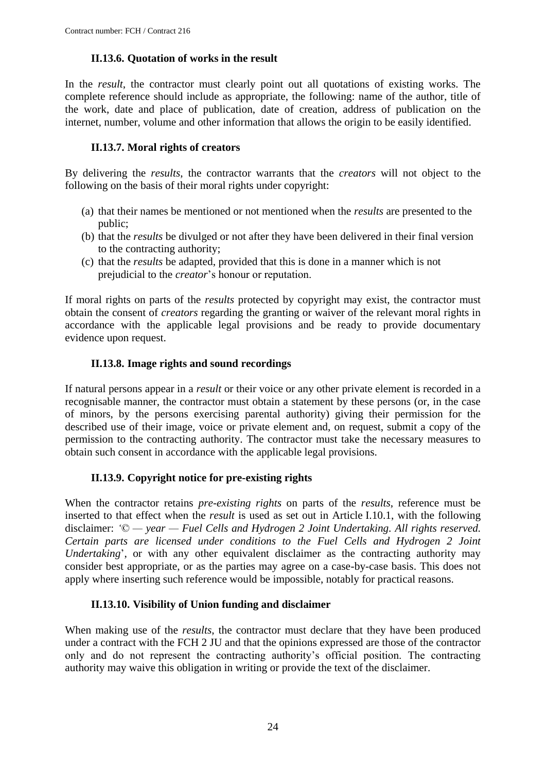### **II.13.6. Quotation of works in the result**

<span id="page-23-0"></span>In the *result*, the contractor must clearly point out all quotations of existing works. The complete reference should include as appropriate, the following: name of the author, title of the work, date and place of publication, date of creation, address of publication on the internet, number, volume and other information that allows the origin to be easily identified.

### **II.13.7. Moral rights of creators**

<span id="page-23-1"></span>By delivering the *results*, the contractor warrants that the *creators* will not object to the following on the basis of their moral rights under copyright:

- (a) that their names be mentioned or not mentioned when the *results* are presented to the public;
- (b) that the *results* be divulged or not after they have been delivered in their final version to the contracting authority;
- (c) that the *results* be adapted, provided that this is done in a manner which is not prejudicial to the *creator*'s honour or reputation.

If moral rights on parts of the *results* protected by copyright may exist, the contractor must obtain the consent of *creators* regarding the granting or waiver of the relevant moral rights in accordance with the applicable legal provisions and be ready to provide documentary evidence upon request.

### **II.13.8. Image rights and sound recordings**

<span id="page-23-2"></span>If natural persons appear in a *result* or their voice or any other private element is recorded in a recognisable manner, the contractor must obtain a statement by these persons (or, in the case of minors, by the persons exercising parental authority) giving their permission for the described use of their image, voice or private element and, on request, submit a copy of the permission to the contracting authority. The contractor must take the necessary measures to obtain such consent in accordance with the applicable legal provisions.

### **II.13.9. Copyright notice for pre-existing rights**

<span id="page-23-3"></span>When the contractor retains *pre-existing rights* on parts of the *results*, reference must be inserted to that effect when the *result* is used as set out in Article I.10.1, with the following disclaimer: *'© — year — Fuel Cells and Hydrogen 2 Joint Undertaking. All rights reserved. Certain parts are licensed under conditions to the Fuel Cells and Hydrogen 2 Joint Undertaking*', or with any other equivalent disclaimer as the contracting authority may consider best appropriate, or as the parties may agree on a case-by-case basis. This does not apply where inserting such reference would be impossible, notably for practical reasons.

### **II.13.10. Visibility of Union funding and disclaimer**

<span id="page-23-4"></span>When making use of the *results*, the contractor must declare that they have been produced under a contract with the FCH 2 JU and that the opinions expressed are those of the contractor only and do not represent the contracting authority's official position. The contracting authority may waive this obligation in writing or provide the text of the disclaimer.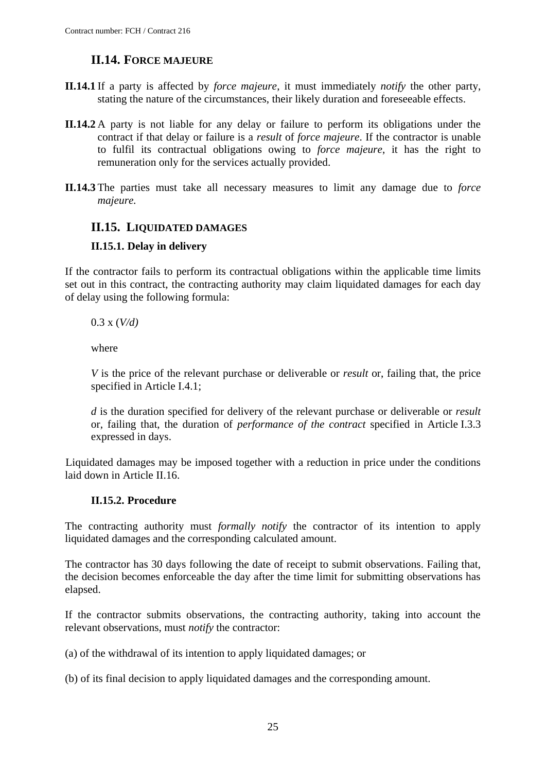## **II.14. FORCE MAJEURE**

- <span id="page-24-0"></span>**II.14.1** If a party is affected by *force majeure*, it must immediately *notify* the other party, stating the nature of the circumstances, their likely duration and foreseeable effects.
- **II.14.2** A party is not liable for any delay or failure to perform its obligations under the contract if that delay or failure is a *result* of *force majeure*. If the contractor is unable to fulfil its contractual obligations owing to *force majeure*, it has the right to remuneration only for the services actually provided.
- **II.14.3** The parties must take all necessary measures to limit any damage due to *force majeure.*

### <span id="page-24-1"></span>**II.15. LIQUIDATED DAMAGES**

### <span id="page-24-2"></span>**II.15.1. Delay in delivery**

If the contractor fails to perform its contractual obligations within the applicable time limits set out in this contract, the contracting authority may claim liquidated damages for each day of delay using the following formula:

0.3 x (*V/d)*

where

*V* is the price of the relevant purchase or deliverable or *result* or, failing that, the price specified in Article I.4.1;

*d* is the duration specified for delivery of the relevant purchase or deliverable or *result* or, failing that, the duration of *performance of the contract* specified in Article I.3.3 expressed in days.

Liquidated damages may be imposed together with a reduction in price under the conditions laid down in Article II.16.

### **II.15.2. Procedure**

<span id="page-24-3"></span>The contracting authority must *formally notify* the contractor of its intention to apply liquidated damages and the corresponding calculated amount.

The contractor has 30 days following the date of receipt to submit observations. Failing that, the decision becomes enforceable the day after the time limit for submitting observations has elapsed.

If the contractor submits observations, the contracting authority, taking into account the relevant observations, must *notify* the contractor:

(a) of the withdrawal of its intention to apply liquidated damages; or

(b) of its final decision to apply liquidated damages and the corresponding amount.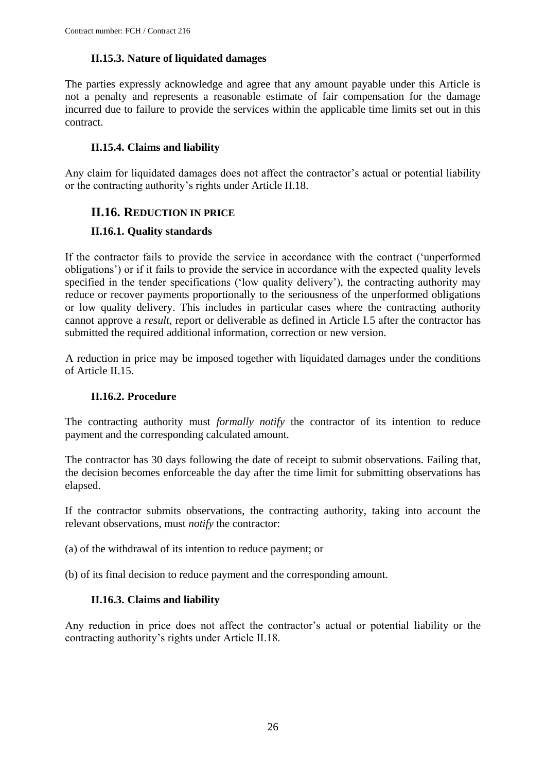### **II.15.3. Nature of liquidated damages**

<span id="page-25-0"></span>The parties expressly acknowledge and agree that any amount payable under this Article is not a penalty and represents a reasonable estimate of fair compensation for the damage incurred due to failure to provide the services within the applicable time limits set out in this contract.

### **II.15.4. Claims and liability**

<span id="page-25-1"></span>Any claim for liquidated damages does not affect the contractor's actual or potential liability or the contracting authority's rights under Article II.18.

### <span id="page-25-2"></span>**II.16. REDUCTION IN PRICE**

### <span id="page-25-3"></span>**II.16.1. Quality standards**

If the contractor fails to provide the service in accordance with the contract ('unperformed obligations') or if it fails to provide the service in accordance with the expected quality levels specified in the tender specifications ('low quality delivery'), the contracting authority may reduce or recover payments proportionally to the seriousness of the unperformed obligations or low quality delivery. This includes in particular cases where the contracting authority cannot approve a *result*, report or deliverable as defined in Article I.5 after the contractor has submitted the required additional information, correction or new version.

A reduction in price may be imposed together with liquidated damages under the conditions of Article II.15.

### **II.16.2. Procedure**

<span id="page-25-4"></span>The contracting authority must *formally notify* the contractor of its intention to reduce payment and the corresponding calculated amount.

The contractor has 30 days following the date of receipt to submit observations. Failing that, the decision becomes enforceable the day after the time limit for submitting observations has elapsed.

If the contractor submits observations, the contracting authority, taking into account the relevant observations, must *notify* the contractor:

(a) of the withdrawal of its intention to reduce payment; or

<span id="page-25-5"></span>(b) of its final decision to reduce payment and the corresponding amount.

### **II.16.3. Claims and liability**

Any reduction in price does not affect the contractor's actual or potential liability or the contracting authority's rights under Article II.18.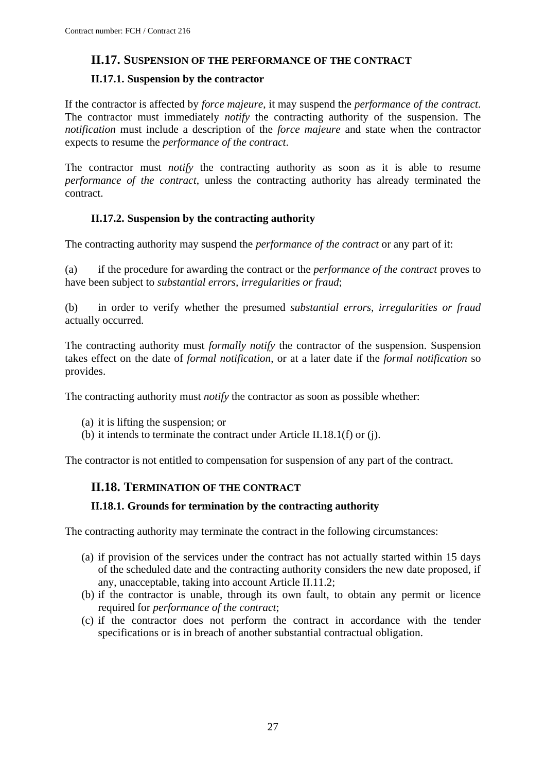### <span id="page-26-0"></span>**II.17. SUSPENSION OF THE PERFORMANCE OF THE CONTRACT**

### <span id="page-26-1"></span>**II.17.1. Suspension by the contractor**

If the contractor is affected by *force majeure*, it may suspend the *performance of the contract*. The contractor must immediately *notify* the contracting authority of the suspension. The *notification* must include a description of the *force majeure* and state when the contractor expects to resume the *performance of the contract*.

The contractor must *notify* the contracting authority as soon as it is able to resume *performance of the contract*, unless the contracting authority has already terminated the contract.

### **II.17.2. Suspension by the contracting authority**

<span id="page-26-2"></span>The contracting authority may suspend the *performance of the contract* or any part of it:

(a) if the procedure for awarding the contract or the *performance of the contract* proves to have been subject to *substantial errors, irregularities or fraud*;

(b) in order to verify whether the presumed *substantial errors, irregularities or fraud* actually occurred.

The contracting authority must *formally notify* the contractor of the suspension. Suspension takes effect on the date of *formal notification*, or at a later date if the *formal notification* so provides.

The contracting authority must *notify* the contractor as soon as possible whether:

- (a) it is lifting the suspension; or
- (b) it intends to terminate the contract under Article II.18.1(f) or (j).

<span id="page-26-3"></span>The contractor is not entitled to compensation for suspension of any part of the contract.

### **II.18. TERMINATION OF THE CONTRACT**

### <span id="page-26-4"></span>**II.18.1. Grounds for termination by the contracting authority**

The contracting authority may terminate the contract in the following circumstances:

- (a) if provision of the services under the contract has not actually started within 15 days of the scheduled date and the contracting authority considers the new date proposed, if any, unacceptable, taking into account Article II.11.2;
- (b) if the contractor is unable, through its own fault, to obtain any permit or licence required for *performance of the contract*;
- (c) if the contractor does not perform the contract in accordance with the tender specifications or is in breach of another substantial contractual obligation.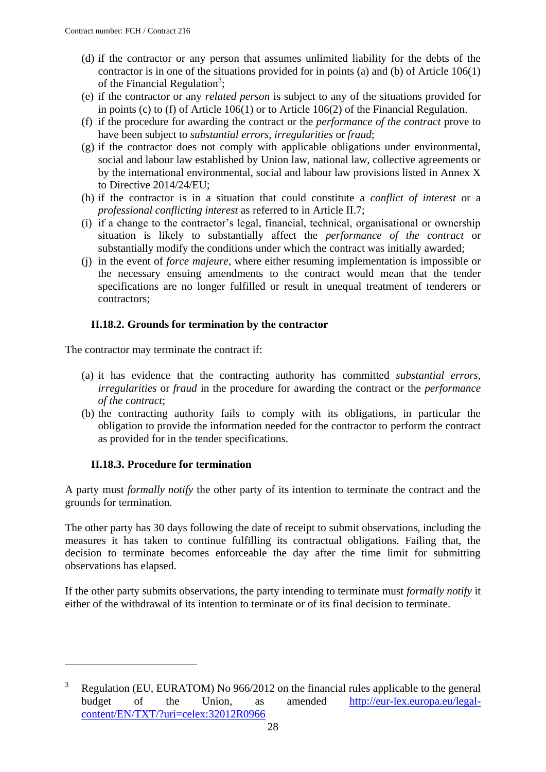- (d) if the contractor or any person that assumes unlimited liability for the debts of the contractor is in one of the situations provided for in points (a) and (b) of Article 106(1) of the Financial Regulation<sup>3</sup>;
- (e) if the contractor or any *related person* is subject to any of the situations provided for in points (c) to (f) of Article 106(1) or to Article 106(2) of the Financial Regulation.
- (f) if the procedure for awarding the contract or the *performance of the contract* prove to have been subject to *substantial errors*, *irregularities* or *fraud*;
- (g) if the contractor does not comply with applicable obligations under environmental, social and labour law established by Union law, national law, collective agreements or by the international environmental, social and labour law provisions listed in Annex X to Directive 2014/24/EU;
- (h) if the contractor is in a situation that could constitute a *conflict of interest* or a *professional conflicting interest* as referred to in Article II.7;
- (i) if a change to the contractor's legal, financial, technical, organisational or ownership situation is likely to substantially affect the *performance of the contract* or substantially modify the conditions under which the contract was initially awarded;
- (j) in the event of *force majeure*, where either resuming implementation is impossible or the necessary ensuing amendments to the contract would mean that the tender specifications are no longer fulfilled or result in unequal treatment of tenderers or contractors;

### **II.18.2. Grounds for termination by the contractor**

<span id="page-27-0"></span>The contractor may terminate the contract if:

- (a) it has evidence that the contracting authority has committed *substantial errors*, *irregularities* or *fraud* in the procedure for awarding the contract or the *performance of the contract*;
- (b) the contracting authority fails to comply with its obligations, in particular the obligation to provide the information needed for the contractor to perform the contract as provided for in the tender specifications.

### **II.18.3. Procedure for termination**

<u>.</u>

<span id="page-27-1"></span>A party must *formally notify* the other party of its intention to terminate the contract and the grounds for termination.

The other party has 30 days following the date of receipt to submit observations, including the measures it has taken to continue fulfilling its contractual obligations. Failing that, the decision to terminate becomes enforceable the day after the time limit for submitting observations has elapsed.

If the other party submits observations, the party intending to terminate must *formally notify* it either of the withdrawal of its intention to terminate or of its final decision to terminate.

<sup>&</sup>lt;sup>3</sup> Regulation (EU, EURATOM) No 966/2012 on the financial rules applicable to the general budget of the Union, as amended [http://eur-lex.europa.eu/legal](http://eur-lex.europa.eu/legal-content/EN/TXT/?uri=celex:32012R0966)[content/EN/TXT/?uri=celex:32012R0966](http://eur-lex.europa.eu/legal-content/EN/TXT/?uri=celex:32012R0966)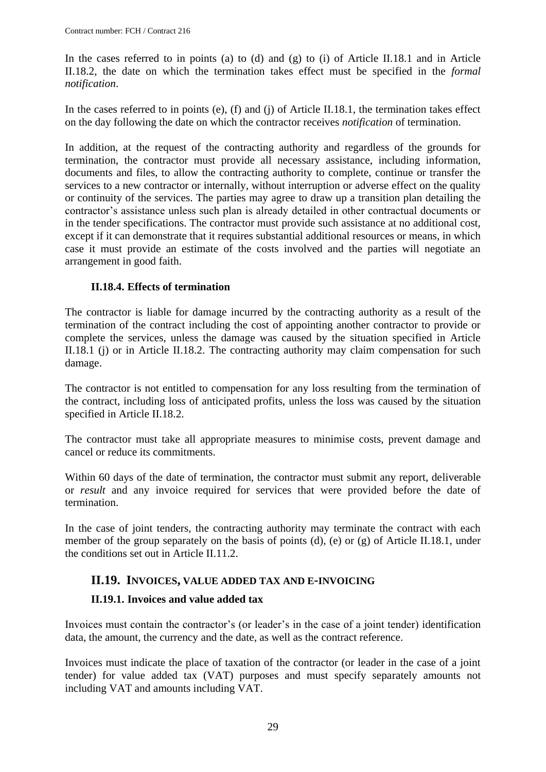In the cases referred to in points (a) to (d) and (g) to (i) of Article II.18.1 and in Article II.18.2, the date on which the termination takes effect must be specified in the *formal notification*.

In the cases referred to in points (e), (f) and (j) of Article II.18.1, the termination takes effect on the day following the date on which the contractor receives *notification* of termination.

In addition, at the request of the contracting authority and regardless of the grounds for termination, the contractor must provide all necessary assistance, including information, documents and files, to allow the contracting authority to complete, continue or transfer the services to a new contractor or internally, without interruption or adverse effect on the quality or continuity of the services. The parties may agree to draw up a transition plan detailing the contractor's assistance unless such plan is already detailed in other contractual documents or in the tender specifications. The contractor must provide such assistance at no additional cost, except if it can demonstrate that it requires substantial additional resources or means, in which case it must provide an estimate of the costs involved and the parties will negotiate an arrangement in good faith.

#### **II.18.4. Effects of termination**

<span id="page-28-0"></span>The contractor is liable for damage incurred by the contracting authority as a result of the termination of the contract including the cost of appointing another contractor to provide or complete the services, unless the damage was caused by the situation specified in Article II.18.1 (j) or in Article II.18.2. The contracting authority may claim compensation for such damage.

The contractor is not entitled to compensation for any loss resulting from the termination of the contract, including loss of anticipated profits, unless the loss was caused by the situation specified in Article II.18.2.

The contractor must take all appropriate measures to minimise costs, prevent damage and cancel or reduce its commitments.

Within 60 days of the date of termination, the contractor must submit any report, deliverable or *result* and any invoice required for services that were provided before the date of termination.

In the case of joint tenders, the contracting authority may terminate the contract with each member of the group separately on the basis of points (d), (e) or (g) of Article II.18.1, under the conditions set out in Article II.11.2.

### <span id="page-28-1"></span>**II.19. INVOICES, VALUE ADDED TAX AND E-INVOICING**

#### <span id="page-28-2"></span>**II.19.1. Invoices and value added tax**

Invoices must contain the contractor's (or leader's in the case of a joint tender) identification data, the amount, the currency and the date, as well as the contract reference.

Invoices must indicate the place of taxation of the contractor (or leader in the case of a joint tender) for value added tax (VAT) purposes and must specify separately amounts not including VAT and amounts including VAT.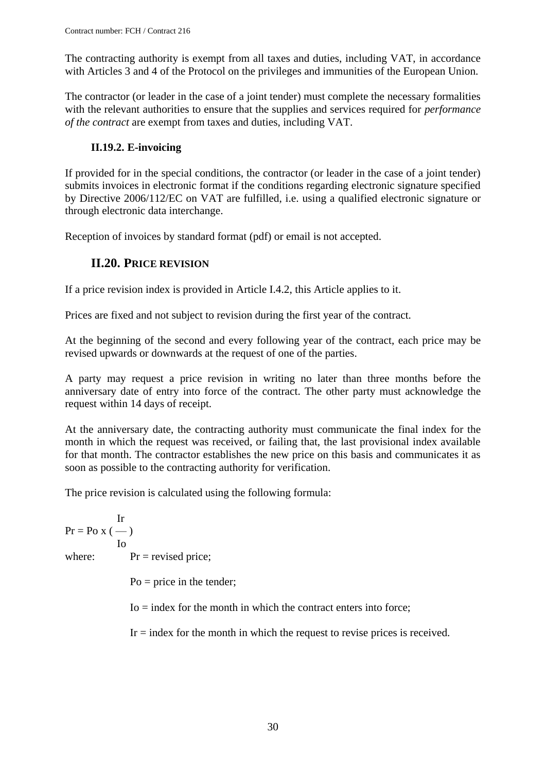The contracting authority is exempt from all taxes and duties, including VAT, in accordance with Articles 3 and 4 of the Protocol on the privileges and immunities of the European Union.

The contractor (or leader in the case of a joint tender) must complete the necessary formalities with the relevant authorities to ensure that the supplies and services required for *performance of the contract* are exempt from taxes and duties, including VAT.

## **II.19.2. E-invoicing**

<span id="page-29-0"></span>If provided for in the special conditions, the contractor (or leader in the case of a joint tender) submits invoices in electronic format if the conditions regarding electronic signature specified by Directive 2006/112/EC on VAT are fulfilled, i.e. using a qualified electronic signature or through electronic data interchange.

<span id="page-29-1"></span>Reception of invoices by standard format (pdf) or email is not accepted.

# **II.20. PRICE REVISION**

If a price revision index is provided in Article I.4.2, this Article applies to it.

Prices are fixed and not subject to revision during the first year of the contract.

At the beginning of the second and every following year of the contract, each price may be revised upwards or downwards at the request of one of the parties.

A party may request a price revision in writing no later than three months before the anniversary date of entry into force of the contract. The other party must acknowledge the request within 14 days of receipt.

At the anniversary date, the contracting authority must communicate the final index for the month in which the request was received, or failing that, the last provisional index available for that month. The contractor establishes the new price on this basis and communicates it as soon as possible to the contracting authority for verification.

The price revision is calculated using the following formula:

Ir  $Pr = PoX$  (--) Io where:  $Pr = \text{revised price};$ 

 $Po = price in the tendency;$ 

 $I_0$  = index for the month in which the contract enters into force;

 $Ir = index$  for the month in which the request to revise prices is received.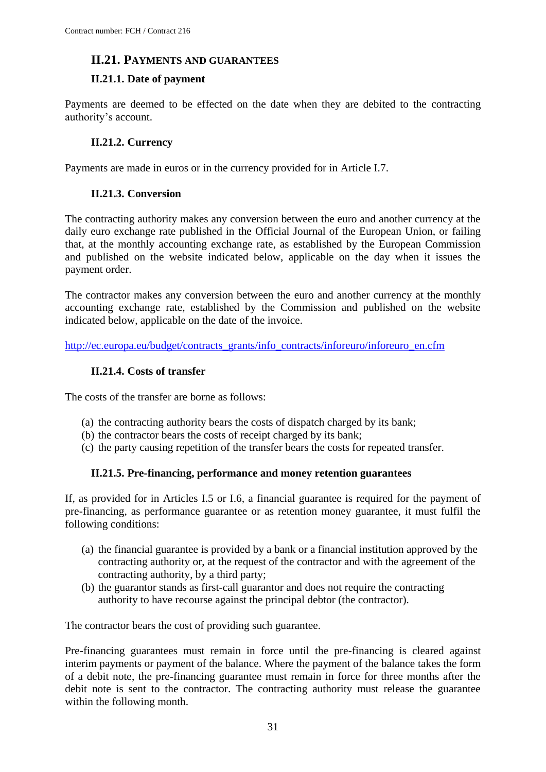### <span id="page-30-0"></span>**II.21. PAYMENTS AND GUARANTEES**

### <span id="page-30-1"></span>**II.21.1. Date of payment**

Payments are deemed to be effected on the date when they are debited to the contracting authority's account.

### **II.21.2. Currency**

<span id="page-30-3"></span><span id="page-30-2"></span>Payments are made in euros or in the currency provided for in Article I.7.

### **II.21.3. Conversion**

The contracting authority makes any conversion between the euro and another currency at the daily euro exchange rate published in the Official Journal of the European Union, or failing that, at the monthly accounting exchange rate, as established by the European Commission and published on the website indicated below, applicable on the day when it issues the payment order.

The contractor makes any conversion between the euro and another currency at the monthly accounting exchange rate, established by the Commission and published on the website indicated below, applicable on the date of the invoice.

<span id="page-30-4"></span>[http://ec.europa.eu/budget/contracts\\_grants/info\\_contracts/inforeuro/inforeuro\\_en.cfm](http://ec.europa.eu/budget/contracts_grants/info_contracts/inforeuro/inforeuro_en.cfm)

### **II.21.4. Costs of transfer**

The costs of the transfer are borne as follows:

- (a) the contracting authority bears the costs of dispatch charged by its bank;
- (b) the contractor bears the costs of receipt charged by its bank;
- (c) the party causing repetition of the transfer bears the costs for repeated transfer.

### **II.21.5. Pre-financing, performance and money retention guarantees**

<span id="page-30-5"></span>If, as provided for in Articles I.5 or I.6*,* a financial guarantee is required for the payment of pre-financing, as performance guarantee or as retention money guarantee, it must fulfil the following conditions:

- (a) the financial guarantee is provided by a bank or a financial institution approved by the contracting authority or, at the request of the contractor and with the agreement of the contracting authority, by a third party;
- (b) the guarantor stands as first-call guarantor and does not require the contracting authority to have recourse against the principal debtor (the contractor).

The contractor bears the cost of providing such guarantee.

Pre-financing guarantees must remain in force until the pre-financing is cleared against interim payments or payment of the balance. Where the payment of the balance takes the form of a debit note, the pre-financing guarantee must remain in force for three months after the debit note is sent to the contractor. The contracting authority must release the guarantee within the following month.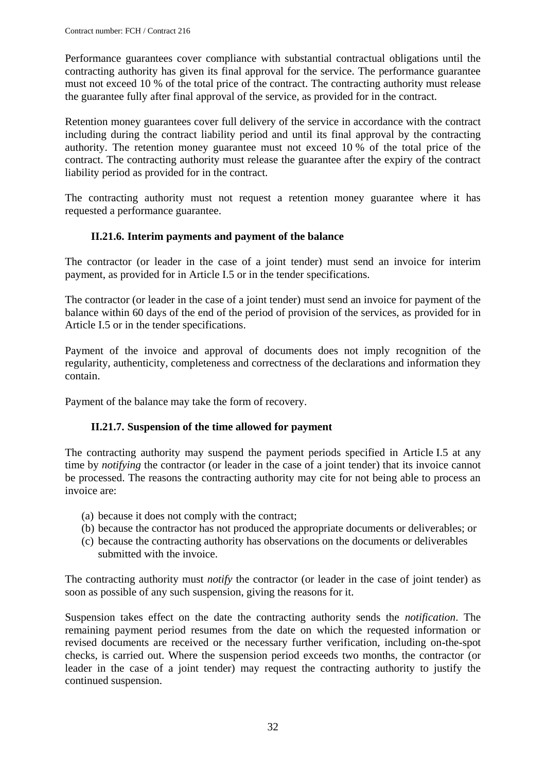Performance guarantees cover compliance with substantial contractual obligations until the contracting authority has given its final approval for the service. The performance guarantee must not exceed 10 % of the total price of the contract. The contracting authority must release the guarantee fully after final approval of the service, as provided for in the contract.

Retention money guarantees cover full delivery of the service in accordance with the contract including during the contract liability period and until its final approval by the contracting authority. The retention money guarantee must not exceed 10 % of the total price of the contract. The contracting authority must release the guarantee after the expiry of the contract liability period as provided for in the contract.

The contracting authority must not request a retention money guarantee where it has requested a performance guarantee.

### **II.21.6. Interim payments and payment of the balance**

<span id="page-31-0"></span>The contractor (or leader in the case of a joint tender) must send an invoice for interim payment, as provided for in Article I.5 or in the tender specifications.

The contractor (or leader in the case of a joint tender) must send an invoice for payment of the balance within 60 days of the end of the period of provision of the services, as provided for in Article I.5 or in the tender specifications.

Payment of the invoice and approval of documents does not imply recognition of the regularity, authenticity, completeness and correctness of the declarations and information they contain.

<span id="page-31-1"></span>Payment of the balance may take the form of recovery.

### **II.21.7. Suspension of the time allowed for payment**

The contracting authority may suspend the payment periods specified in Article I.5 at any time by *notifying* the contractor (or leader in the case of a joint tender) that its invoice cannot be processed. The reasons the contracting authority may cite for not being able to process an invoice are:

- (a) because it does not comply with the contract;
- (b) because the contractor has not produced the appropriate documents or deliverables; or
- (c) because the contracting authority has observations on the documents or deliverables submitted with the invoice.

The contracting authority must *notify* the contractor (or leader in the case of joint tender) as soon as possible of any such suspension, giving the reasons for it.

Suspension takes effect on the date the contracting authority sends the *notification*. The remaining payment period resumes from the date on which the requested information or revised documents are received or the necessary further verification, including on-the-spot checks, is carried out. Where the suspension period exceeds two months, the contractor (or leader in the case of a joint tender) may request the contracting authority to justify the continued suspension.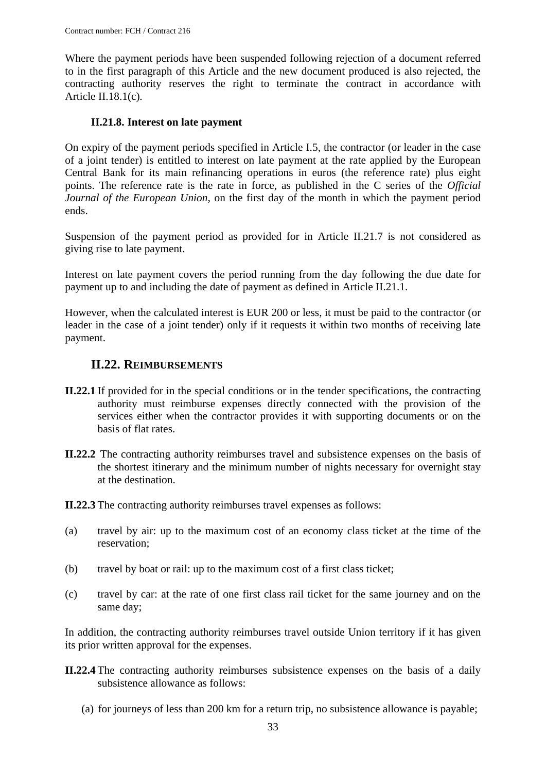Where the payment periods have been suspended following rejection of a document referred to in the first paragraph of this Article and the new document produced is also rejected, the contracting authority reserves the right to terminate the contract in accordance with Article II.18.1(c)*.*

#### **II.21.8. Interest on late payment**

<span id="page-32-0"></span>On expiry of the payment periods specified in Article I.5, the contractor (or leader in the case of a joint tender) is entitled to interest on late payment at the rate applied by the European Central Bank for its main refinancing operations in euros (the reference rate) plus eight points. The reference rate is the rate in force, as published in the C series of the *Official Journal of the European Union,* on the first day of the month in which the payment period ends.

Suspension of the payment period as provided for in Article II.21.7 is not considered as giving rise to late payment.

Interest on late payment covers the period running from the day following the due date for payment up to and including the date of payment as defined in Article II.21.1.

However, when the calculated interest is EUR 200 or less, it must be paid to the contractor (or leader in the case of a joint tender) only if it requests it within two months of receiving late payment.

### <span id="page-32-1"></span>**II.22. REIMBURSEMENTS**

- **II.22.1** If provided for in the special conditions or in the tender specifications, the contracting authority must reimburse expenses directly connected with the provision of the services either when the contractor provides it with supporting documents or on the basis of flat rates.
- **II.22.2** The contracting authority reimburses travel and subsistence expenses on the basis of the shortest itinerary and the minimum number of nights necessary for overnight stay at the destination.
- **II.22.3** The contracting authority reimburses travel expenses as follows:
- (a) travel by air: up to the maximum cost of an economy class ticket at the time of the reservation;
- (b) travel by boat or rail: up to the maximum cost of a first class ticket;
- (c) travel by car: at the rate of one first class rail ticket for the same journey and on the same day;

In addition, the contracting authority reimburses travel outside Union territory if it has given its prior written approval for the expenses.

- **II.22.4** The contracting authority reimburses subsistence expenses on the basis of a daily subsistence allowance as follows:
	- (a) for journeys of less than 200 km for a return trip, no subsistence allowance is payable;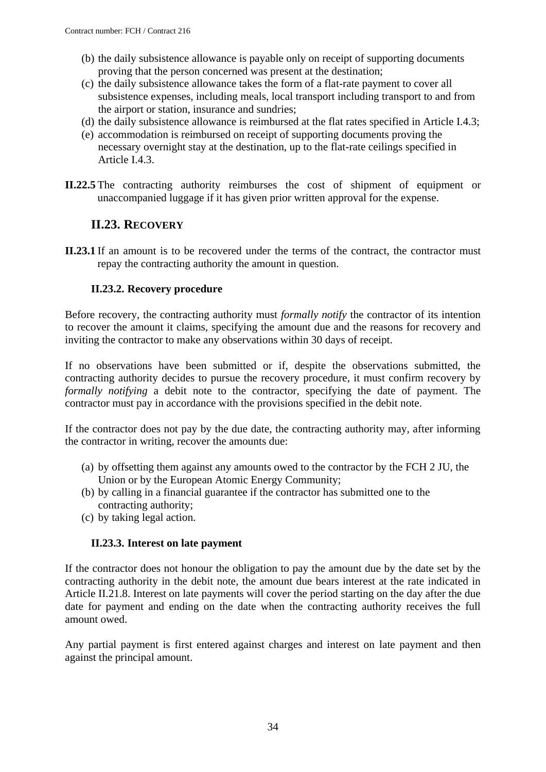- (b) the daily subsistence allowance is payable only on receipt of supporting documents proving that the person concerned was present at the destination;
- (c) the daily subsistence allowance takes the form of a flat-rate payment to cover all subsistence expenses, including meals, local transport including transport to and from the airport or station, insurance and sundries;
- (d) the daily subsistence allowance is reimbursed at the flat rates specified in Article I.4.3;
- (e) accommodation is reimbursed on receipt of supporting documents proving the necessary overnight stay at the destination, up to the flat-rate ceilings specified in Article I.4.3.
- **II.22.5** The contracting authority reimburses the cost of shipment of equipment or unaccompanied luggage if it has given prior written approval for the expense.

### **II.23. RECOVERY**

<span id="page-33-0"></span>**II.23.1** If an amount is to be recovered under the terms of the contract, the contractor must repay the contracting authority the amount in question.

### **II.23.2. Recovery procedure**

<span id="page-33-1"></span>Before recovery, the contracting authority must *formally notify* the contractor of its intention to recover the amount it claims, specifying the amount due and the reasons for recovery and inviting the contractor to make any observations within 30 days of receipt.

If no observations have been submitted or if, despite the observations submitted, the contracting authority decides to pursue the recovery procedure, it must confirm recovery by *formally notifying* a debit note to the contractor, specifying the date of payment. The contractor must pay in accordance with the provisions specified in the debit note.

If the contractor does not pay by the due date, the contracting authority may, after informing the contractor in writing, recover the amounts due:

- (a) by offsetting them against any amounts owed to the contractor by the FCH 2 JU, the Union or by the European Atomic Energy Community;
- (b) by calling in a financial guarantee if the contractor has submitted one to the contracting authority;
- (c) by taking legal action.

### **II.23.3. Interest on late payment**

<span id="page-33-2"></span>If the contractor does not honour the obligation to pay the amount due by the date set by the contracting authority in the debit note, the amount due bears interest at the rate indicated in Article II.21.8. Interest on late payments will cover the period starting on the day after the due date for payment and ending on the date when the contracting authority receives the full amount owed.

Any partial payment is first entered against charges and interest on late payment and then against the principal amount.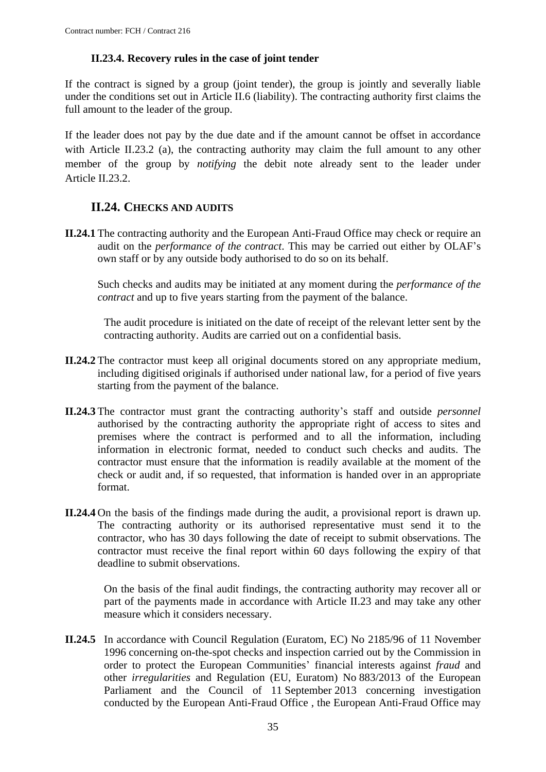#### **II.23.4. Recovery rules in the case of joint tender**

<span id="page-34-0"></span>If the contract is signed by a group (joint tender), the group is jointly and severally liable under the conditions set out in Article II.6 (liability). The contracting authority first claims the full amount to the leader of the group.

If the leader does not pay by the due date and if the amount cannot be offset in accordance with Article II.23.2 (a), the contracting authority may claim the full amount to any other member of the group by *notifying* the debit note already sent to the leader under Article II.23.2.

### **II.24. CHECKS AND AUDITS**

<span id="page-34-1"></span>**II.24.1** The contracting authority and the European Anti-Fraud Office may check or require an audit on the *performance of the contract*. This may be carried out either by OLAF's own staff or by any outside body authorised to do so on its behalf.

Such checks and audits may be initiated at any moment during the *performance of the contract* and up to five years starting from the payment of the balance.

The audit procedure is initiated on the date of receipt of the relevant letter sent by the contracting authority. Audits are carried out on a confidential basis.

- **II.24.2** The contractor must keep all original documents stored on any appropriate medium, including digitised originals if authorised under national law, for a period of five years starting from the payment of the balance.
- **II.24.3** The contractor must grant the contracting authority's staff and outside *personnel* authorised by the contracting authority the appropriate right of access to sites and premises where the contract is performed and to all the information, including information in electronic format, needed to conduct such checks and audits. The contractor must ensure that the information is readily available at the moment of the check or audit and, if so requested, that information is handed over in an appropriate format.
- **II.24.4** On the basis of the findings made during the audit, a provisional report is drawn up. The contracting authority or its authorised representative must send it to the contractor, who has 30 days following the date of receipt to submit observations. The contractor must receive the final report within 60 days following the expiry of that deadline to submit observations.

On the basis of the final audit findings, the contracting authority may recover all or part of the payments made in accordance with Article II.23 and may take any other measure which it considers necessary.

**II.24.5** In accordance with Council Regulation (Euratom, EC) No 2185/96 of 11 November 1996 concerning on-the-spot checks and inspection carried out by the Commission in order to protect the European Communities' financial interests against *fraud* and other *irregularities* and Regulation (EU, Euratom) No 883/2013 of the European Parliament and the Council of 11 September 2013 concerning investigation conducted by the European Anti-Fraud Office , the European Anti-Fraud Office may